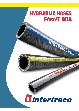## **HYDRAULIC HOSES** *FlexIT* **008**

Intertracour FlexIT / 27 m Tribertraco haly o Fiesti sunzanno nu men **MINERAL AND DEATH** 

# **Tintertraco**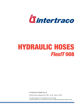

# **HYDRAULIC HOSES** *FlexIT* **008**

© Intertraco (Italia) S.p.A.

Flexible Hoses Catalogue FlexIT 008 - rev.00 - March 8, 2008

The data reported in this catalogue are not binding. Intertraco (Italia) S.p.A. reserves the right to change specifications without notice.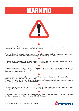## **WARNING**



Intertraco products are part of an engineered system which must be assembled and used in accordance with Intertraco instructions and limitations.

r Failure to follow Intertraco instructions and limitations could lead to premature hose or hose assemblies failures resulting in property damage, serious injury or death.

r Intertraco's limited warranty shall apply only if the customer uses hose and couplings specifically engineered and produced to Intertraco process specifications.

r Intertraco disclaims any responsibility or liability for any hose assemblies not produced from genuine Intertraco hose and couplings, in conformance with Intertraco process specifications for each specific hose assembly.

r Intertraco does not identify all the end users of its products so that cannot distribute to these end users the product safety and use information.

Therefore, we must rely on the sellers and distributors of Intertraco products to provide a copy of this warning and precautions to all the end users.

r It is not allowed to select or use hose and couplings without reading this warning, the precautions on page 28 and the specific instructions contained into hose data sheets.

when selecting a compatible fitting series please always make reference to the Intertraco hose and fittings compatibility chart and assembling instructions.

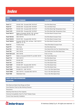## *Index*

| <b>HOSES</b>          |                                                                              |                                             |             |
|-----------------------|------------------------------------------------------------------------------|---------------------------------------------|-------------|
| <b>HOSE TYPE</b>      | <b>HOSE STANDARD</b>                                                         | <b>DESCRIPTION</b>                          | <b>PAGE</b> |
|                       |                                                                              |                                             |             |
| <b>FlexIT 1T</b>      | EN 853 1SN - Exceeds SAE 100 R1AT                                            | One Wire Braid Hose                         | 6           |
| FlexIT <sub>2T</sub>  | EN 853 2SN - Exceeds SAE 100 R2AT                                            | Two wire Braid Hose                         | 7           |
| <b>FlexIT HT1</b>     | EN 853 1SN - Exceeds SAE 100 R1AT                                            | One Wire Braid High Temperature Hose        | 8           |
| <b>FlexIT HT2</b>     | EN 853 2SN - Exceeds SAE 100 R2AT                                            | Two Wire Braid High Temperature Hose        | 9           |
| FlexIT SK117          | Meets or Exceeds: EN 857 1SC, all Sizes<br>SAE 100 R17, Sizes 04 -05 -06 -08 | One Wire Braid Compact Hose                 | 10          |
| FlexIT SK142          | SAE 100 R16                                                                  | One Wire Braid Compact Hose                 | 11          |
| FlexIT SC216          | EN 857 2SC - Exceeds SAE 100 R16                                             | Two Wire Braid Compact Hose                 | 12          |
| FlexIT SK216          | Exceeds: EN 857 2SC, all Sizes - SAE 100 R17,<br>Sizes 10 -12 -16            | Two Wire Braid Compact Hose                 | 13          |
| FlexIT 3T             | <b>Forestry Hose</b>                                                         | Three Wire Braid Compact Hose               | 14          |
| <b>FlexIT PT</b>      | Pilot Hose                                                                   | One Wire Braid Hose                         | 15          |
| <b>FlexIT R4</b>      | <b>SAE 100 R4</b>                                                            | One Helical Wire And Two Textile Braid Hose | 16          |
| <b>FlexIT R5</b>      | SAE 100 R5                                                                   | One Textile And One Wire Braid Hose         | 17          |
| <b>FlexIT EZ-Lock</b> | <b>SAE 100 R6</b>                                                            | Push-on Hose                                | 18          |
| <b>FlexIT T7</b>      | Meets or Exceeds EN 855 R7 and SAE 100 R7                                    | Two Textile Braid Hose                      | 19          |
| FlexIT T14            | SAE 100 R14                                                                  | One Wire Braid Hose                         | 20          |
| <b>FlexIT P4</b>      | <b>EN 856 4SP</b>                                                            | Four Wire Spiral Hose                       | 21          |
| <b>FlexIT H4</b>      | <b>EN 856 4SH</b>                                                            | Four Wire Spiral Hose                       | 22          |
| <b>FlexIT SHP</b>     | EN 856 4SP - Exceeds SAE 100 R12                                             | Four Wire Spiral Hose                       | 23          |
| FlexIT S12            | Meets or Exceeds SAE 100 R12                                                 | Four Wire Spiral Hose                       | 24          |
| <b>FlexIT 5000</b>    | EN 856 R13 - SAE 100 R13                                                     | Four or Six Wire Spiral Hose                | 25          |
| <b>FlexIT 6000</b>    | SAE 100 R15 - Exceeds SAE 100 R13                                            | Four or Six Wire Spiral Hose                | 26          |
| <b>FlexIT WB</b>      | Waterblast Hose                                                              | Four or Six Wire Spiral Hose                | 27          |

#### **CHARTS AND OTHER INFORMATIONS DESCRIPTION PAGE**

| Wire Braid and Spiral Hose Range and Sizes           |    |
|------------------------------------------------------|----|
| Hose Selection Chart by Max Working Pressure         | 5  |
| Precautions                                          | 28 |
| Selecting Hose Size by Flow Capacity                 | 29 |
| Chemical Compatibility Chart For FlexIT Rubber Hoses | 30 |
| Correct Hose Assembly Installation                   | 32 |



© Intertraco (Italia) S.p.A. All rights are reserved - 3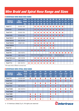## *Wire Braid and Spiral Hose Range and Sizes*

#### **INTERTRACO WIRE BRAID HOSE RANGE**

|                                       |                                | $\boldsymbol{\theta}$ mm | 3                   | 5      | 6                   | 8         | 10               | 12    | 16            | 19               | 25              | 31                | 38                | 51                 | 63    | 76    | 102               |
|---------------------------------------|--------------------------------|--------------------------|---------------------|--------|---------------------|-----------|------------------|-------|---------------|------------------|-----------------|-------------------|-------------------|--------------------|-------|-------|-------------------|
| <b>Intertraco</b><br><b>Hose Type</b> | <b>Hose</b><br><b>Standard</b> | <b>Ø</b> inch            | $1/8$ <sup>33</sup> | 3/16"  | $1/4$ <sup>33</sup> | 5/16"     | 3/8"             | 1/2"  | 5/8"          | $3/4$ "          | 19 <sub>1</sub> |                   | $11/4"$ $11/2"$   | 2 <sup>m</sup>     | 21/2" | $3^n$ | $4$ <sup>33</sup> |
|                                       |                                | <b>Size</b>              | $-02$               | $-03$  | $-04$               | $-05$     | $-06$            | $-08$ | $-10$         | $-12$            | $-16$           | $-20$             | $-24$             | $-32$              | $-40$ | $-48$ | $-64$             |
| <b>FlexIT 1T</b>                      | <b>EN 853 1SN</b>              |                          |                     |        |                     |           |                  |       |               |                  |                 |                   |                   |                    |       |       |                   |
| <b>FlexIT 2T</b>                      | <b>EN 853 2SN</b>              |                          |                     |        |                     |           |                  |       |               |                  |                 |                   |                   |                    |       |       |                   |
| <b>FlexIT HT1</b>                     | <b>EN 853 1SN</b>              |                          |                     |        |                     |           |                  |       |               |                  |                 |                   |                   |                    |       |       |                   |
| <b>FlexIT HT2</b>                     |                                | <b>EN 853 2SN</b>        |                     |        | D                   |           |                  |       |               |                  |                 |                   |                   |                    |       |       |                   |
| <b>FlexIT SK117</b>                   | <b>EN 857 1SC</b>              |                          |                     |        |                     |           |                  |       |               |                  |                 |                   |                   |                    |       |       |                   |
| <b>FlexIT SK142</b>                   | <b>SAE 100 R16</b>             |                          |                     |        |                     |           |                  |       |               |                  |                 |                   |                   |                    |       |       |                   |
| FlexIT SC216                          | <b>EN857 2SC</b>               |                          |                     |        | O                   |           |                  |       |               |                  |                 |                   |                   |                    |       |       |                   |
| FlexIT SK216                          | ٠                              |                          |                     |        | $\bullet$           |           |                  |       | O             |                  |                 |                   |                   |                    |       |       |                   |
| <b>FlexIT 3T</b>                      | $\overline{\phantom{0}}$       |                          |                     |        |                     |           |                  |       |               | $\bullet$        |                 |                   |                   |                    |       |       |                   |
| <b>FlexIT PT</b>                      |                                |                          |                     | ●      | ∍                   | $\bullet$ |                  | D     |               |                  |                 |                   |                   |                    |       |       |                   |
| <b>FlexIT R4</b>                      | <b>SAE 100 R4</b>              |                          |                     |        |                     |           |                  |       |               | ◆                |                 |                   | $\bullet$         |                    | ●     | ●     |                   |
| FlexIT R5*                            | <b>SAE 100 R5</b>              |                          |                     | $R-04$ | $R-05$              | $R-06$    | R-08<br>(13/32") |       | $R-10$ $R-12$ | $R-16$<br>(7/8") |                 | $R-20$<br>(11/8") | $R-24$<br>(13/8") | $R-32$<br>(13/16") |       |       |                   |
| <b>FlexIT EZ-Lock</b>                 |                                | <b>SAE 100 R6</b>        |                     |        | D                   |           |                  |       |               |                  |                 |                   |                   |                    |       |       |                   |
| <b>FlexIT T7</b>                      | <b>SAE 100 R7</b>              |                          |                     |        |                     |           |                  |       |               |                  |                 |                   |                   |                    |       |       |                   |
| <b>FlexIT T14</b>                     | SAE 100 R14                    |                          | ●                   |        |                     |           |                  |       |               |                  |                 |                   |                   |                    |       |       |                   |

\* R5 hoses follow different nominal bore.

#### *L***T INTERTRACO WIRE SPIRAL HOSE RANGE**

|                                       |                                | $\boldsymbol{\theta}$ mm | $6\phantom{a}$ | 10        | 12    | 16    | 19    | 25             | 31        | 38        | 51    |
|---------------------------------------|--------------------------------|--------------------------|----------------|-----------|-------|-------|-------|----------------|-----------|-----------|-------|
| <b>Intertraco</b><br><b>Hose Type</b> | <b>Hose</b><br><b>Standard</b> | Ø inch                   | 1/4"           | 3/8"      | 1/2"  | 5/8"  | 3/4"  | 1 <sup>m</sup> | 11/4"     | 11/2"     | 2"    |
|                                       |                                | <b>Size</b>              | $-04$          | $-06$     | $-08$ | $-10$ | $-12$ | $-16$          | $-20$     | $-24$     | $-32$ |
| <b>FlexIT P4</b>                      | <b>EN 856 4SP</b>              |                          | ◆              | ◆         | ◆     | ♦     |       | ◆              |           | ♦         |       |
| <b>FlexIT H4</b>                      | <b>EN 856 4SH</b>              |                          |                |           |       |       | ◆     | ●              |           |           |       |
| <b>FlexIT SHP</b>                     | $\overline{\phantom{a}}$       |                          |                | $\bullet$ |       | ♦     |       | ◆              |           |           |       |
| <b>FlexIT S12</b>                     | <b>SAE 100 R12</b>             |                          |                |           |       |       | ◆     |                | $\bullet$ | $\bullet$ |       |
| <b>FlexIT 5000</b>                    | SAE 100 R13                    |                          |                |           |       |       |       |                |           |           |       |
| <b>FlexIT 6000</b>                    | <b>SAE 100 R15</b>             |                          |                |           |       |       |       |                |           |           |       |
| <b>FlexIT WB1</b>                     | $\overline{\phantom{a}}$       |                          |                | ▲         |       |       |       | ●              |           |           |       |
| <b>FlexIT WB2</b>                     |                                |                          |                | $\bullet$ |       |       |       |                |           |           |       |
| <b>FlexIT WB3</b>                     | $\overline{\phantom{a}}$       |                          |                |           |       |       |       |                |           |           |       |

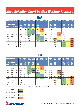## *Hose Selection Chart by Max Working Pressure*

| <b>Intertraco Hose Type</b> |                      |             | <b>FlexIT</b><br>11 | <b>FlexIT</b><br>2T | <b>FlexIT</b><br><b>SK117</b> | <b>FlexIT</b><br><b>SK142</b> | <b>FlexIT</b><br><b>SC216</b> | <b>FlexIT</b><br><b>SK216</b> | <b>FlexIT</b><br>3T | <b>FlexIT</b><br><b>P4</b> | <b>FlexIT</b><br><b>H4</b> | <b>FlexIT</b><br><b>SHP</b> | <b>FlexIT</b><br><b>S12</b> | <b>FlexIT</b><br>5000 | <b>FlexIT</b><br>6000 |
|-----------------------------|----------------------|-------------|---------------------|---------------------|-------------------------------|-------------------------------|-------------------------------|-------------------------------|---------------------|----------------------------|----------------------------|-----------------------------|-----------------------------|-----------------------|-----------------------|
|                             | <b>Hose Standard</b> |             | EN                  | EN                  | EN                            | <b>SAE</b>                    | <b>EN</b>                     |                               |                     | <b>EN</b>                  | EN                         |                             | <b>SAE</b>                  | <b>SAE</b>            | <b>SAE</b>            |
| $\theta$ mm                 | <b>Ø</b> inch        | <b>Size</b> | 853<br>1SN          | 853<br>2SN          | 857<br>1SC                    | 100<br><b>R16</b>             | 857<br><b>2SC</b>             | п                             | ┍                   | 856<br>4SP                 | 856<br>4SH                 |                             | 100<br><b>R12</b>           | 100<br><b>R13</b>     | 100<br><b>R15</b>     |
| 6                           | 1/4"                 | $-04$       | 225                 | 400                 | 250                           | 345                           | 400                           | 450                           |                     | 450                        |                            |                             |                             |                       |                       |
| 8                           | 5/16"                | $-05$       | 215                 | 350                 | 230                           | 295                           | 350                           | 420                           |                     |                            |                            |                             |                             |                       |                       |
| 10                          | 3/8"                 | $-06$       | 180                 | 330                 | 210                           | 275                           | 330                           | 385                           | 500                 | 445                        |                            | 450                         | 280                         |                       |                       |
| 12                          | 1/2"                 | $-08$       | 160                 | 275                 | 210                           | 240                           | 275                           | 345                           | 470                 | 415                        |                            | 420                         | 280                         |                       |                       |
| 16                          | 5/8"                 | $-10$       | 130                 | 250                 | 130                           |                               | 250                           | 290                           |                     | 350                        |                            | 350                         | 280                         |                       |                       |
| 19                          | 3/4"                 | $-12$       | 105                 | 215                 | 105                           |                               | 215                           | 280                           | 375                 | 350                        | 420                        | 350                         | 280                         | 350                   | 420                   |
| 25                          | 1"                   | $-16$       | 88                  | 165                 | 88                            |                               | 165                           | 230                           | 310                 | 280                        | 380                        | 280                         | 280                         | 350                   | 420                   |
| 31                          | 11/4"                | $-20$       | 63                  | 125                 |                               |                               |                               |                               |                     |                            | 350                        |                             | 210                         | 350                   | 420                   |
| 38                          | 11/2"                | $-24$       | 50                  | 90                  |                               |                               |                               |                               |                     |                            | 300                        |                             | 210                         | 350                   | 420                   |
| 51                          | 2"                   | $-32$       | 40                  | 80                  |                               |                               |                               |                               |                     |                            | 250                        |                             | 210                         | 350                   | 420                   |

### **BAR**

### **PSI**

|                 | <b>Intertraco Hose Type</b> |             | <b>FlexIT</b><br>11 | <b>FlexIT</b><br>2T | <b>FlexIT</b><br><b>SK117</b> | <b>FlexIT</b><br><b>SK142</b> | <b>FlexIT</b><br><b>SC216</b> | <b>FlexIT</b><br><b>SK216</b> | <b>FlexIT</b><br>3T | <b>FlexIT</b><br><b>P4</b> | <b>FlexIT</b><br><b>H4</b> | <b>FlexIT</b><br><b>SHP</b> | <b>FlexIT</b><br><b>S12</b> | <b>FlexIT</b><br>5000 | <b>FlexIT</b><br>6000 |
|-----------------|-----------------------------|-------------|---------------------|---------------------|-------------------------------|-------------------------------|-------------------------------|-------------------------------|---------------------|----------------------------|----------------------------|-----------------------------|-----------------------------|-----------------------|-----------------------|
|                 | <b>Hose Standard</b>        |             | EN                  | <b>EN</b>           | EN                            | <b>SAE</b>                    | <b>EN</b>                     |                               |                     | EN                         | <b>EN</b>                  |                             | <b>SAE</b>                  | <b>SAE</b>            | <b>SAE</b>            |
| 0 <sub>mm</sub> | <b>Ø</b> inch               | <b>Size</b> | 853<br><b>1SN</b>   | 853<br>2SN          | 857<br><b>1SC</b>             | 100<br><b>R16</b>             | 857<br><b>2SC</b>             |                               | -                   | 856<br>4SP                 | 856<br>4SH                 | п                           | 100<br><b>R12</b>           | 100<br><b>R13</b>     | 100<br><b>R15</b>     |
| 6               | 1/4"                        | $-04$       | 3265                | 5800                | 3600                          | 5000                          | 5800                          | 6500                          |                     | 6500                       |                            |                             |                             |                       |                       |
| 8               | 5/16"                       | $-05$       | 3120                | 5075                | 3300                          | 4300                          | 5000                          | 6000                          |                     |                            |                            |                             |                             |                       |                       |
| 10              | 3/8"                        | $-06$       | 2610                | 4785                | 3000                          | 4000                          | 4800                          | 5500                          | 7200                | 6500                       |                            | 6500                        | 4000                        |                       |                       |
| 12              | 1/2"                        | $-08$       | 2320                | 3990                | 3000                          | 3500                          | 4000                          | 5000                          | 6800                | 6000                       |                            | 6000                        | 4000                        |                       |                       |
| 16              | 5/8"                        | $-10$       | 1885                | 3625                | 1900                          |                               | 3600                          | 4200                          |                     | 5000                       |                            | 5000                        | 4000                        |                       |                       |
| 19              | 3/4"                        | $-12$       | 1525                | 3120                | 1500                          |                               | 3100                          | 4000                          | 5400                | 5000                       | 6000                       | 5000                        | 4000                        | 5000                  | 6000                  |
| 25              | 1"                          | $-16$       | 1275                | 2395                | 1250                          |                               | 2400                          | 3300                          | 4500                | 4000                       | 5500                       | 4000                        | 4000                        | 5000                  | 6000                  |
| 31              | 11/4"                       | $-20$       | 915                 | 1815                |                               |                               |                               |                               |                     |                            | 5000                       |                             | 3000                        | 5000                  | 6000                  |
| 38              | 11/2"                       | $-24$       | 725                 | 1305                |                               |                               |                               |                               |                     |                            | 4350                       |                             | 3000                        | 5000                  | 6000                  |
| 51              | 2"                          | $-32$       | 580                 | 1160                |                               |                               |                               |                               |                     |                            | 3600                       |                             | 3000                        | 5000                  | 6000                  |

You can select hoses which meet or exceed a certain Isobaric line by following the colour coding:

210 bar / 3000 psi 275 bar / 4000 psi 345 bar / 5000 psi 420 bar / 6000 psi



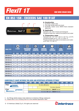# *FlexIT 1T*

### **ONE WIRE BRAID HOSE**

## **EN 853 1SN - EXCEEDS SAE 100 R1AT**



#### **A. Construction**

- 1 Synthetic rubber tube
- 2 One high tensile steel wire braid
- 3 Synthetic rubber cover, MSHA flame retardant approved

#### **B. Application**

Hydraulic oils, both mineral and biological Polyglycol base oils, water/oil emulsions and water

#### **C. Temperature range**

Hydraulic oils: -40 °C to +100 °C (-40 °F to +212°F) occasional peaks up to +125 °C (+250 °F) Polyglycol base oils, water-oil emulsions and water: up to  $+85$  °C (+185 °F)

| <b>HOSE TYPE</b> | $\overline{\mathbf{C}}$<br><b>Ø HOSE</b><br><b>INCH</b><br><b>DN</b> |        |             |      | <b>REINFORCEMENT</b><br><b>DIAMETER</b> |      | <b>OUTSIDE</b><br><b>DIAMETER</b> |       | WORKING<br>PRESSURE |       | <b>BURST</b><br><b>PRESSURE</b> |      | <b>BEND</b><br><b>RADIUS</b> |        | kg<br><b>WEIGHT</b> |
|------------------|----------------------------------------------------------------------|--------|-------------|------|-----------------------------------------|------|-----------------------------------|-------|---------------------|-------|---------------------------------|------|------------------------------|--------|---------------------|
|                  |                                                                      |        | <b>SIZE</b> | [mm] | [ <sub>in</sub> ]                       | [mm] | [ <sub>in</sub> ]                 | [bar] | [psi]               | [bar] | [psi]                           | [mm] | [in]                         | [kg/m] | [1b/ft]             |
| <b>DIN1SN-04</b> | 6                                                                    | 1/4"   | 04          | 11,1 | 0,437                                   | 13,4 | 0,528                             | 225   | 3265                | 900   | 13060                           | 100  | 3,94                         | 0,21   | 0,14                |
| <b>DIN1SN-05</b> | 8                                                                    | 5/16"  | 05          | 12,7 | 0,500                                   | 15,0 | 0,591                             | 215   | 3120                | 860   | 12480                           | 115  | 4,53                         | 0,24   | 0,16                |
| <b>DIN1SN-06</b> | 10                                                                   | 3/8"   | 06          | 15,1 | 0,594                                   | 17,4 | 0.685                             | 180   | 2610                | 720   | 10440                           | 130  | 5,12                         | 0,33   | 0,22                |
| <b>DIN1SN-08</b> | 12                                                                   | 1/2"   | 08          | 18,3 | 0.720                                   | 20,6 | 0.811                             | 160   | 2320                | 640   | 9280                            | 180  | 7,09                         | 0,41   | 0,28                |
| <b>DIN1SN-10</b> | 16                                                                   | 5/8"   | 10          | 21,4 | 0,843                                   | 23,7 | 0,933                             | 130   | 1885                | 520   | 7540                            | 200  | 7,87                         | 0,45   | 0,30                |
| <b>DIN1SN-12</b> | 19                                                                   | 3/4"   | 12          | 25,4 | 1,000                                   | 27,7 | 1,091                             | 105   | 1525                | 420   | 6100                            | 240  | 9,45                         | 0,58   | 0,39                |
| <b>DIN1SN-16</b> | 25                                                                   | 4 11   | 16          | 33,3 | 1,311                                   | 35,6 | 1,402                             | 88    | 1275                | 352   | 5100                            | 300  | 11,81                        | 0,88   | 0,59                |
| <b>DIN1SN-20</b> | 31                                                                   | 1.1/4" | 20          | 40,5 | 1.594                                   | 43,5 | 1.713                             | 63    | 915                 | 252   | 3660                            | 420  | 16,54                        | 1,23   | 0,83                |
| <b>DIN1SN-24</b> | 38                                                                   | 1.1/2" | 24          | 46,8 | 1.843                                   | 50,6 | 1.992                             | 50    | 725                 | 200   | 2900                            | 500  | 19,69                        | 1,51   | 1,01                |
| <b>DIN1SN-32</b> | 51                                                                   | 2"     | 32          | 60,2 | 2,370                                   | 64,0 | 2,520                             | 40    | 580                 | 160   | 2320                            | 630  | 24,80                        | 1,97   | 1,32                |

#### **COMPATIBILITY CHART BETWEEN THIS HOSE AND INTERTRACO APPROVED FITTINGS\***

| <b>FlexIT 1T</b>                         | $\sqrt{-0.3}$ | $-04$ |  |                                                  |                           | $\blacksquare$ -20 |  |
|------------------------------------------|---------------|-------|--|--------------------------------------------------|---------------------------|--------------------|--|
| 1 Piece                                  |               |       |  | No-skive: <b>K</b> series                        |                           |                    |  |
|                                          |               |       |  |                                                  | No-skive: <b>J</b> series |                    |  |
| 2 Piece<br><b><i><u>AAAAAAAA</u></i></b> |               |       |  | No-skive: <b>B</b> insert + <b>SN03T</b> ferrule |                           |                    |  |
|                                          |               |       |  | Ext-skive: $B$ insert $+$ S0210 ferrule          |                           |                    |  |

\* For fittings details please make reference to Intertraco fittings catalogues.<br>\*\* Please refer to our crimping chart for more detailed application data.

\*\* Please refer to our crimping chart for more detailed application data.



6 - © Intertraco (Italia) S.p.A. All rights are reserved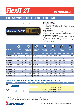## *FlexIT 2T*

### **TWO WIRE BRAID HOSE**

## **EN 853 2SN - EXCEEDS SAE 100 R2AT**



#### **A. Construction**

- 1 Synthetic rubber tube
- 2 Two high tensile steel wire braids
- 3 Synthetic rubber cover, MSHA flame retardant approved

#### **B. Application**

Hydraulic oils, both mineral and biological Polyglycol base oils, water/oil emulsions and water

#### **C. Temperature range**

Hydraulic oils: -40°C to +100°C (-40°F to +212°F) occasional peaks up to +125°C (+250°F) Polyglycol base oils, water-oil emulsions and water: up to +85°C (+185°F)

| <b>HOSE TYPE</b> | Ô<br><b>Ø HOSE</b><br><b>DN</b><br><b>INCH</b> |        |             |      | <b>REINFORCEMENT</b><br><b>DIAMETER</b> |      | <b>OUTSIDE</b><br><b>DIAMETER</b> |       | <b>WORKING</b><br><b>PRESSURE</b> |       | <b>BURST</b><br><b>PRESSURE</b> |      | <b>BEND</b><br><b>RADIUS</b> | <b>WEIGHT</b> | kg                        |
|------------------|------------------------------------------------|--------|-------------|------|-----------------------------------------|------|-----------------------------------|-------|-----------------------------------|-------|---------------------------------|------|------------------------------|---------------|---------------------------|
|                  |                                                |        | <b>SIZE</b> | [mm] | [in]                                    | [mm] | $[$ in]                           | [bar] | [psi]                             | [bar] | [psi]                           | [mm] | $[$ in]                      | [kg/m]        | [ <b>lb</b> / <b>ft</b> ] |
| <b>DIN2SN-04</b> | 6                                              | 1/4"   | 04          | 12,7 | 0,500                                   | 15,0 | 0.591                             | 400   | 5800                              | 1600  | 23200                           | 100  | 3,94                         | 0,33          | 0,22                      |
| <b>DIN2SN-05</b> | 8                                              | 5/16"  | 05          | 14,3 | 0,563                                   | 16,6 | 0,654                             | 350   | 5075                              | 1400  | 20300                           | 115  | 4,53                         | 0,39          | 0,26                      |
| <b>DIN2SN-06</b> | 10                                             | 3/8"   | 06          | 16,7 | 0,657                                   | 19,0 | 0,748                             | 330   | 4785                              | 1320  | 19140                           | 130  | 5,12                         | 0,50          | 0,34                      |
| <b>DIN2SN-08</b> | 12                                             | 1/2"   | 08          | 19,8 | 0,780                                   | 22,2 | 0,874                             | 275   | 3990                              | 1100  | 15960                           | 180  | 7,09                         | 0,59          | 0,40                      |
| <b>DIN2SN-10</b> | 16                                             | 5/8"   | 10          | 23,0 | 0,906                                   | 25,4 | 1,000                             | 250   | 3625                              | 1000  | 14500                           | 200  | 7,87                         | 0,71          | 0,48                      |
| <b>DIN2SN-12</b> | 19                                             | 3/4"   | 12          | 27,0 | 1,063                                   | 29,3 | 1,154                             | 215   | 3120                              | 860   | 12480                           | 240  | 9,45                         | 0,86          | 0,58                      |
| <b>DIN2SN-16</b> | 25                                             | 1"     | 16          | 34,9 | 1,374                                   | 38,1 | 1,500                             | 165   | 2395                              | 660   | 9580                            | 300  | 11,81                        | 1,28          | 0,86                      |
| <b>DIN2SN-20</b> | 31                                             | 1.1/4" | 20          | 44,5 | 1,752                                   | 48,3 | 1.902                             | 125   | 1815                              | 500   | 7260                            | 420  | 16,54                        | 2,02          | 1,36                      |
| <b>DIN2SN-24</b> | 38                                             | 1.1/2" | 24          | 50.8 | 2,000                                   | 54,6 | 2,150                             | 90    | 1305                              | 360   | 5220                            | 500  | 19,69                        | 2,23          | 1,50                      |
| <b>DIN2SN-32</b> | 51                                             | 2"     | 32          | 63,5 | 2,500                                   | 67,3 | 2,650                             | 80    | 1160                              | 320   | 4640                            | 630  | 24,80                        | 2,85          | 1,92                      |

#### **COMPATIBILITY CHART BETWEEN THIS HOSE AND INTERTRACO APPROVED FITTINGS\***

| <b>FlexIT 2T</b>            | $-03$ | $-04$ |  |                    | -05   -06   -08   -10   -12   -16   -20           |  |  |
|-----------------------------|-------|-------|--|--------------------|---------------------------------------------------|--|--|
| 1 Piece<br>.                |       |       |  | No-skive: K series |                                                   |  |  |
|                             |       |       |  |                    | No-skive: <b>J</b> series                         |  |  |
| 2 Piece<br><b>AAAAAAAAA</b> |       |       |  |                    | No-skive: $B$ insert + $SNO3T$ ferrule            |  |  |
|                             |       |       |  |                    | Ext-skive: <b>B</b> insert + <b>S0420</b> ferrule |  |  |

\* For fittings details please make reference to Intertraco fittings catalogues.<br>\*\* Please refer to our crimping chart for more detailed application data.

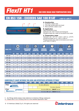*FlexIT HT1*

#### **ONE WIRE BRAID HIGH TEMPERATURE HOSE**

## **EN 853 1SN - EXCEEDS SAE 100 R1AT** +135 °C / +275 °F



#### **A. Construction**

- 1 Synthetic rubber tube
- 2 One high tensile steel wire braid
- 3 Blue synthetic rubber cover

#### **B. Application**

High temperature hose Hydraulic oils, both mineral and biological Polyglicol base oils, water-oil emulsions and water

#### **C. Temperature range**

Hydraulic oils: -40°C to +135°C (-40°F to +275°F) occasional peaks up to +150°C (+302°F) Polyglycol base oils, water-oil emulsions and water: up to  $+85^{\circ}$ C ( $+185^{\circ}$ F)

| <b>HOSE TYPE</b> | $\bullet$<br><b>Ø HOSE</b><br><b>DN</b><br><b>INCH</b> |        |             | $\bigcirc$ | <b>REINFORCEMENT</b><br><b>DIAMETER</b> |      | <b>OUTSIDE</b><br><b>DIAMETER</b> |       | <b>WORKING</b><br><b>PRESSURE</b> |       | <b>BURST</b><br><b>PRESSURE</b> |      | <b>BEND</b><br><b>RADIUS</b> |        | kg<br><b>WEIGHT</b>  |
|------------------|--------------------------------------------------------|--------|-------------|------------|-----------------------------------------|------|-----------------------------------|-------|-----------------------------------|-------|---------------------------------|------|------------------------------|--------|----------------------|
|                  |                                                        |        | <b>SIZE</b> | [mm]       | [ <sub>in</sub> ]                       | [mm] | $[$ in]                           | [bar] | [psi]                             | [bar] | [psi]                           | [mm] | $[$ in]                      | [kg/m] | [1 <sub>b</sub> /ft] |
| <b>HT1-04</b>    | 6                                                      | 1/4"   | 04          | 11,1       | 0,437                                   | 13,4 | 0,528                             | 225   | 3265                              | 900   | 13060                           | 100  | 3,94                         | 0,21   | 0,14                 |
| <b>HT1-05</b>    | 8                                                      | 5/16"  | 05          | 12,7       | 0,500                                   | 15,0 | 0.591                             | 215   | 3120                              | 860   | 12480                           | 115  | 4,53                         | 0,24   | 0, 16                |
| <b>HT1-06</b>    | 10                                                     | 3/8"   | 06          | 15,1       | 0,594                                   | 17,4 | 0,685                             | 180   | 2610                              | 720   | 10440                           | 130  | 5,12                         | 0,33   | 0,22                 |
| <b>HT1-08</b>    | 12                                                     | 1/2"   | 08          | 18,3       | 0,720                                   | 20,6 | 0,811                             | 160   | 2320                              | 640   | 9280                            | 180  | 7,09                         | 0,41   | 0,28                 |
| <b>HT1-10</b>    | 16                                                     | 5/8"   | 10          | 21,4       | 0,843                                   | 23,7 | 0,933                             | 130   | 1885                              | 520   | 7540                            | 200  | 7,87                         | 0,45   | 0,30                 |
| <b>HT1-12</b>    | 19                                                     | 3/4"   | 12          | 25,4       | 1,000                                   | 27,7 | 1.091                             | 105   | 1525                              | 420   | 6100                            | 240  | 9,45                         | 0,58   | 0,39                 |
| HT1-16           | 25                                                     | 1"     | 16          | 33,3       | 1,311                                   | 35,6 | 1,402                             | 88    | 1275                              | 352   | 5100                            | 300  | 11,81                        | 0,88   | 0,59                 |
| <b>HT1-20</b>    | 31                                                     | 1.1/4" | 20          | 40,5       | 1,594                                   | 43,5 | 1,713                             | 63    | 915                               | 252   | 3660                            | 420  | 16,54                        | 1,23   | 0,83                 |
| <b>HT1-24</b>    | 38                                                     | 1.1/2" | 24          | 46,8       | 1,843                                   | 50,6 | 1,992                             | 50    | 725                               | 200   | 2900                            | 500  | 19,69                        | 1,51   | 1,01                 |
| <b>HT1-32</b>    | 51                                                     | 2"     | 32          | 60,2       | 2,370                                   | 64,0 | 2,520                             | 40    | 580                               | 160   | 2320                            | 630  | 24,80                        | 1,97   | 1,32                 |

#### **COMPATIBILITY CHART BETWEEN THIS HOSE AND INTERTRACO APPROVED FITTINGS\***

| <b>FlexIT HT1</b>                        | $-03$ | $-04$ |  |                                                    |                           |  |  |
|------------------------------------------|-------|-------|--|----------------------------------------------------|---------------------------|--|--|
| 1 Piece                                  |       |       |  | No-skive: K series                                 |                           |  |  |
|                                          |       |       |  |                                                    | No-skive: <b>J</b> series |  |  |
| 2 Piece<br><b><i><u>AAAAAAAA</u></i></b> |       |       |  | No-skive: <b>B</b> insert $+$ <b>SN03T</b> ferrule |                           |  |  |
|                                          |       |       |  | Ext-skive: $B$ insert $+$ S0210 ferrule            |                           |  |  |

\* For fittings details please make reference to Intertraco fittings catalogues.<br>\*\* Please refer to our crimping chart for more detailed application data.

\*\* Please refer to our crimping chart for more detailed application data.



8 - © Intertraco (Italia) S.p.A. All rights are reserved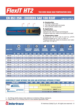*FlexIT HT2*

#### **TWO WIRE BRAID HIGH TEMPERATURE HOSE**

## **EN 853 2SN - EXCEEDS SAE 100 R2AT** +135 °C / +275 °F



#### **A. Construction**

- 1 Synthetic rubber tube
- 2 Two high tensile steel wire braids
- 3 Blue synthetic rubber cover

#### **B. Application**

High temperature hose Hydraulic oils, both mineral and biological Polyglycol base oils, water-oil emulsions and water

#### **C. Temperature range**

Hydraulic oils: -40 °C to +135 °C (-40 °F to +275°F) occasional peaks up to +150 °C (+302 °F) Polyglycol base oils, water-oil emulsions and water: up to  $+85$  °C (+185 °F)

| <b>HOSE TYPE</b> |           | $\bullet$<br><b>Ø HOSE</b> |             |      | $\bf{O}$<br><b>REINFORCEMENT</b><br><b>DIAMETER</b> |      | <b>OUTSIDE</b><br><b>DIAMETER</b> |       | <b>WORKING</b><br><b>PRESSURE</b> |       | $\sqrt{2}$<br><b>BURST</b><br><b>PRESSURE</b> |      | <b>BEND</b><br><b>RADIUS</b> | <b>WEIGHT</b> | kg                        |
|------------------|-----------|----------------------------|-------------|------|-----------------------------------------------------|------|-----------------------------------|-------|-----------------------------------|-------|-----------------------------------------------|------|------------------------------|---------------|---------------------------|
|                  | <b>DN</b> | <b>INCH</b>                | <b>SIZE</b> | [mm] | $[$ in]                                             | [mm] | [ <sub>in</sub> ]                 | [bar] | [psi]                             | [bar] | [psi]                                         | [mm] | $[$ in]                      | [kg/m]        | [ <b>lb</b> / <b>ft</b> ] |
| <b>HT2-04</b>    | 6         | 1/4"                       | 04          | 12,7 | 0.500                                               | 15,0 | 0.591                             | 400   | 5800                              | 1600  | 23200                                         | 100  | 3,94                         | 0,33          | 0,22                      |
| <b>HT2-05</b>    | 8         | 5/16"                      | 05          | 14,3 | 0,563                                               | 16,6 | 0,654                             | 350   | 5075                              | 1400  | 20300                                         | 115  | 4,53                         | 0,39          | 0,26                      |
| <b>HT2-06</b>    | 10        | 3/8"                       | 06          | 16,7 | 0,657                                               | 19,0 | 0,748                             | 330   | 4785                              | 1320  | 19140                                         | 130  | 5,12                         | 0,50          | 0,34                      |
| <b>HT2-08</b>    | 12        | 1/2"                       | 08          | 19,8 | 0,780                                               | 22,2 | 0,874                             | 275   | 3990                              | 1100  | 15960                                         | 180  | 7,09                         | 0,59          | 0,40                      |
| <b>HT2-10</b>    | 16        | 5/8"                       | 10          | 23,0 | 0,906                                               | 25,4 | 1,000                             | 250   | 3625                              | 1000  | 14500                                         | 200  | 7,87                         | 0,71          | 0,48                      |
| <b>HT2-12</b>    | 19        | 3/4"                       | 12          | 27,0 | 1,063                                               | 29,3 | 1,154                             | 215   | 3120                              | 860   | 12480                                         | 240  | 9,45                         | 0,86          | 0,58                      |
| <b>HT2-16</b>    | 25        | 1"                         | 16          | 34,9 | 1,374                                               | 38,1 | 1,500                             | 165   | 2395                              | 660   | 9580                                          | 300  | 11,81                        | 1,28          | 0,86                      |
| <b>HT2-20</b>    | 31        | 1.1/4"                     | 20          | 44,5 | 1,752                                               | 48,3 | 1,902                             | 125   | 1815                              | 500   | 7260                                          | 420  | 16,54                        | 2,02          | 1,36                      |
| <b>HT2-24</b>    | 38        | 1.1/2"                     | 24          | 50,8 | 2,000                                               | 54,6 | 2,150                             | 90    | 1305                              | 360   | 5220                                          | 500  | 19,69                        | 2,23          | 1,50                      |
| <b>HT2-32</b>    | 51        | 2"                         | 32          | 63,5 | 2,500                                               | 67,3 | 2,650                             | 80    | 1160                              | 320   | 4640                                          | 630  | 24,80                        | 2,85          | 1,92                      |

#### **COMPATIBILITY CHART BETWEEN THIS HOSE AND INTERTRACO APPROVED FITTINGS\***

|         | <b>FlexIT HT2</b> | $-03$ | <b>A</b> |  |                    | $-05$ $-06$ $-08$ $-10$ $-12$ $-16$               | $-20$ |  |
|---------|-------------------|-------|----------|--|--------------------|---------------------------------------------------|-------|--|
| 1 Piece |                   |       |          |  | No-skive: K series |                                                   |       |  |
|         |                   |       |          |  |                    | No-skive: <b>J</b> series                         |       |  |
| 2 Piece | <b>.</b>          |       |          |  |                    | No-skive: $B$ insert $+$ SN03T ferrule            |       |  |
|         |                   |       |          |  |                    | Ext-skive: <b>B</b> insert + <b>S0420</b> ferrule |       |  |

\*\* For fittings details please make reference to Intertraco fittings catalogues.

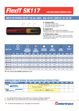# *FlexIT SK117*

#### **ONE WIRE BRAID COMPACT HOSE**

### **MEETS OR EXCEEDS: EN 857 1SC, ALL SIZES - SAE 100 R17, SIZES 04 -05 -06 -08**



#### **A. Construction**

- 1 Synthetic rubber tube
- 2 One high tensile steel wire braid
- 3 Synthetic rubber cover

#### **B. Application**

Hydraulic oils, both mineral and biological Polyglycol base oils, water-oil emulsions and water

#### **C. Temperature range**

Hydraulic oils: -40°C to +100°C (-40°F to +212°F) Polyglycol base oils, water-oil emulsions and water: up to  $+85^{\circ}$ C (+185 $^{\circ}$ F)

| <b>HOSE TYPE</b> |           | O<br>Ø HOSE |             | $\mathbf{\mathbf{\mathbf{\mathbb{C}}}}$ | <b>MEDIUM</b><br><b>REINFORCEMENT</b><br><b>DIAMETER</b> |             | <b>MAX</b><br><b>OUTSIDE</b><br><b>DIAMETER</b> |       | <b>WORKING</b><br><b>PRESSURE</b> |       | <b>BURST</b><br><b>PRESSURE</b> |      | <b>BEND</b><br><b>RADIUS</b> |        | kg<br><b>WEIGHT</b> |
|------------------|-----------|-------------|-------------|-----------------------------------------|----------------------------------------------------------|-------------|-------------------------------------------------|-------|-----------------------------------|-------|---------------------------------|------|------------------------------|--------|---------------------|
|                  | <b>DN</b> | <b>INCH</b> | <b>SIZE</b> | [mm]                                    | $[$ in]                                                  | <b>[mm]</b> | $[$ in]                                         | [bar] | [psi]                             | [bar] | [psi]                           | [mm] | $[$ in]                      | [kg/m] | [1b/ft]             |
| <b>SK117-04</b>  | 6         | 1/4"        | 04          | 10.4                                    | 0,409                                                    | 13,0        | 0,512                                           | 250   | 3600                              | 1000  | 14400                           | 45   | 1,77                         | 0,18   | 0,12                |
| <b>SK117-05</b>  | 8         | 5/16"       | 05          | 11,5                                    | 0,453                                                    | 14,5        | 0,571                                           | 230   | 3300                              | 920   | 13200                           | 55   | 2,17                         | 0,21   | 0,14                |
| <b>SK117-06</b>  | 10        | 3/8"        | 06          | 13,6                                    | 0,535                                                    | 16,8        | 0.661                                           | 210   | 3000                              | 840   | 12000                           | 65   | 2,56                         | 0,28   | 0,18                |
| <b>SK117-08</b>  | 12        | 1/2"        | 80          | 17,0                                    | 0,669                                                    | 20,0        | 0,787                                           | 210   | 3000                              | 840   | 12000                           | 90   | 3,54                         | 0,36   | 0,24                |
| <b>SK117-10</b>  | 16        | 5/8"        | 10          | 20,4                                    | 0,803                                                    | 23,0        | 0,906                                           | 130   | 1900                              | 520   | 7600                            | 150  | 5,91                         | 0,41   | 0,28                |
| <b>SK117-12</b>  | 19        | 3/4"        | 12          | 23,8                                    | 0,937                                                    | 26,7        | 1,051                                           | 105   | 1500                              | 420   | 6000                            | 180  | 7,09                         | 0,52   | 0,35                |
| <b>SK117-16</b>  | 25        | $-1.32$     | 16          | 31,3                                    | 1,232                                                    | 34,9        | 1.374                                           | 88    | 1250                              | 352   | 5000                            | 230  | 9,06                         | 0,78   | 0,52                |

**SK117P: version with UHMPE antiabrasion cover**

#### **COMPATIBILITY CHART BETWEEN THIS HOSE AND INTERTRACO APPROVED FITTINGS\***

| <b>FlexIT SK117</b>                      | $-03$ |  | <u>  -04   -05  </u> -06   -08   -10   -12   -16   -20 |                    |  |  |  |
|------------------------------------------|-------|--|--------------------------------------------------------|--------------------|--|--|--|
| 1 Piece<br>.                             |       |  |                                                        | No-skive: K series |  |  |  |
|                                          |       |  | No-skive: <b>T</b> series                              |                    |  |  |  |
| 2 Piece<br><b><i><u>AAAAAAAA</u></i></b> |       |  | No-skive: <b>B</b> insert + <b>SCX0T</b> ferrule       |                    |  |  |  |

\* For fittings details please make reference to Intertraco fittings catalogues.<br>\*\* Please refer to our crimping chart for more detailed application data.

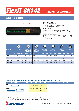## *FlexIT SK142* **ONE WIRE BRAID COMPACT HOSE**

## **SAE 100 R16**



#### **A. Construction**

- 1 Synthetic rubber tube
- 2 One high tensile steel wire braid
- 3 Synthetic rubber cover

#### **B. Application**

Hydraulic oils, both mineral and biological Polyglycol base oils, water-oil emulsions and water

#### **C. Temperature range**

Hydraulic oils: -40°C to +100°C (-40°F to +212°F) Polyglycol base oils, water-oil emulsions and water: up to +85°C (+185°F)

| <b>HOSE TYPE</b> |           | Ô<br><b>Ø HOSE</b> |             | $\bigcirc$<br>REI | <b>MEDIUM</b><br>Inforcement<br><b>DIAMETER</b> |      | $\bigcirc$<br><b>MAX</b><br><b>OUTSIDE</b><br><b>DIAMETER</b> |       | <b>WORKING</b><br><b>PRESSURE</b> |            | <b>BURST</b><br><b>PRESSURE</b> |      | <b>BEND</b><br><b>RADIUS</b> |        | kg<br><b>WEIGHT</b>       |
|------------------|-----------|--------------------|-------------|-------------------|-------------------------------------------------|------|---------------------------------------------------------------|-------|-----------------------------------|------------|---------------------------------|------|------------------------------|--------|---------------------------|
|                  | <b>DN</b> | <b>INCH</b>        | <b>SIZE</b> | [mm]              | $[$ in]                                         | [mm] | $[{\sf im}]$                                                  | [bar] | [psi]                             | <b>bar</b> | [psi]                           | [mm] | $[\mathsf{in}]$              | [kg/m] | [ <b>lb</b> / <b>ft</b> ] |
| <b>SK142-04</b>  | 6         | 1/4"               | 04          | 10,5              | 0,413                                           | 14.1 | 0,555                                                         | 345   | 5000                              | 380        | 20000                           | 51   | 2,01                         | 0,18   | 0,12                      |
| <b>SK142-05</b>  | 8         | 5/16"              | 05          | 12,5              | 0,492                                           | 15,1 | 0,594                                                         | 295   | 4300                              | 1180       | 17200                           | 57   | 2,24                         | 0,27   | 0,18                      |
| <b>SK142-06</b>  | 10        | 3/8"               | 06          | 14,8              | 0,583                                           | 18.1 | 0,713                                                         | 275   | 4000                              | 1100       | 16000                           | 63   | 2,48                         | 0,28   | 0,18                      |
| <b>SK142-08</b>  | 12        | 1/2"               | 08          | 18,6              | 0,732                                           | 21,7 | 0,854                                                         | 240   | 3500                              | 960        | 14000                           | 89   | 3,50                         | 0,36   | 0,24                      |

#### **COMPATIBILITY CHART BETWEEN THIS HOSE AND INTERTRACO APPROVED FITTINGS\***

| <b>FlexIT SK142</b>                      | $-03$ |                                                    | -04 -05 -06 -08 -10 -12 -16 -20 -24              |  |  |  |  |
|------------------------------------------|-------|----------------------------------------------------|--------------------------------------------------|--|--|--|--|
| 1 Piece                                  |       |                                                    | No-skive: K series                               |  |  |  |  |
| 2 Piece<br><b><i><u>AAAAAAAA</u></i></b> |       | No-skive: <b>B</b> insert + <b>SN03T</b> ferrule / |                                                  |  |  |  |  |
|                                          |       |                                                    | No-skive: <b>B</b> insert + <b>SCX0T</b> ferrule |  |  |  |  |

\*\* For fittings details please make reference to Intertraco fittings catalogues.

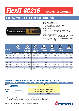## *FlexIT SC216*

## **EN 857 2SC - EXCEEDS SAE 100 R16**



#### **A. Construction**

- 1 Synthetic rubber tube
- 2 Two high tensile steel wire braids
- 3 Synthetic rubber cover

#### **B. Application**

Hydraulic oils, both mineral and biological Polyglycol base oils, water-oil emulsions and water

#### **C. Temperature range**

Hydraulic oils: -40°C to +100°C (-40°F to +212°F) occasional peaks up to +125°C (+250°F) Polyglycol base oils, water-oil emulsions and water: up to  $+85^{\circ}$ C ( $+185^{\circ}$ F)

| <b>HOSE TYPE</b> |           | $\bullet$<br><b>Ø HOSE</b> |             | $\mathbf O$ | <b>MEDIUM</b><br><b>REINFORCEMENT</b><br><b>DIAMETER</b> |      | <b>MAX</b><br><b>OUTSIDE</b><br><b>DIAMETER</b> |       | WORKING<br><b>PRESSURE</b> |       | <b>BURST</b><br><b>PRESSURE</b> | <b>RADIUS</b> | <b>BEND</b>           | <b>WEIGHT</b> | kg      |
|------------------|-----------|----------------------------|-------------|-------------|----------------------------------------------------------|------|-------------------------------------------------|-------|----------------------------|-------|---------------------------------|---------------|-----------------------|---------------|---------|
|                  | <b>DN</b> | <b>INCH</b>                | <b>SIZE</b> | [mm]        | $[$ in]                                                  | [mm] | [ <sub>in</sub> ]                               | [bar] | [psi]                      | [bar] | [psi]                           | [mm]          | $\overline{\text{m}}$ | [kg/m]        | [1b/ft] |
| SC216-04         | 6         | 1/4"                       | 04          | 11,2        | 0,441                                                    | 14,2 | 0,559                                           | 400   | 5800                       | 1600  | 23200                           | 51            | 2,01                  | 0,28          | 0,19    |
| <b>SC216-05</b>  | 8         | 5/16"                      | 05          | 12,7        | 0.500                                                    | 15,7 | 0.618                                           | 350   | 5000                       | 1400  | 20000                           | 57            | 2,24                  | 0,33          | 0,22    |
| SC216-06         | 10        | 3/8"                       | 06          | 15,1        | 0.594                                                    | 18,3 | 0,720                                           | 330   | 4800                       | 1320  | 19200                           | 63            | 2,48                  | 0,42          | 0,28    |
| SC216-08         | 12        | 1/2"                       | 08          | 18,3        | 0,720                                                    | 21,5 | 0.846                                           | 275   | 4000                       | 1100  | 16000                           | 88            | 3,46                  | 0,52          | 0,35    |
| SC216-10         | 16        | 5/8"                       | 10          | 21,4        | 0,843                                                    | 24,7 | 0,972                                           | 250   | 3600                       | 1000  | 14400                           | 100           | 3,94                  | 0,61          | 0,41    |
| SC216-12         | 19        | 3/4"                       | 12          | 25,4        | 1,000                                                    | 28,6 | 1,126                                           | 215   | 3100                       | 860   | 12400                           | 120           | 4,72                  | 0,79          | 0,53    |
| SC216-16         | 25        | $-1.32$                    | 16          | 33,4        | 1,315                                                    | 36,6 | 1,441                                           | 165   | 2400                       | 660   | 9600                            | 150           | 5,91                  | 1,10          | 0,74    |

#### **COMPATIBILITY CHART BETWEEN THIS HOSE AND INTERTRACO APPROVED FITTINGS\***

| <b>FlexIT SC216</b> | $-03$ | $-04$ |  |                                                   |                           | -05 -06 -08 -10 -12 -16 | $-20$ |  |
|---------------------|-------|-------|--|---------------------------------------------------|---------------------------|-------------------------|-------|--|
| 1 Piece             |       |       |  | No-skive: K series                                |                           |                         |       |  |
|                     |       |       |  |                                                   | No-skive: <b>J</b> series |                         |       |  |
| 2 Piece             |       |       |  | No-skive: <b>B</b> insert + <b>SN03T</b> ferrule  |                           |                         |       |  |
| .                   |       |       |  | No-skive: $B$ insert $+$ SCX0T ferrule            |                           |                         |       |  |
|                     |       |       |  | Ext-skive: <b>B</b> insert + <b>S0210</b> ferrule |                           |                         |       |  |

\* For fittings details please make reference to Intertraco fittings catalogues.<br>\*\* Please refer to our crimping chart for more detailed application data.

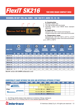*FlexIT SK216* **TWO WIRE BRAID COMPACT HOSE**

### **EXCEEDS: EN 857 2SC, ALL SIZES - SAE 100 R17, SIZES 10 -12 -16**



#### **A. Construction**

- 1 Synthetic rubber tube
- 2 Two high tensile steel wire braids
- 3 Synthetic rubber cover MSHA flame retardant approved

#### **B. Application**

Hydraulic oils, both mineral and biological Polyglycol base oils, water-oil emulsions and water

#### **C. Temperature range**

Hydraulic oils: -40°C to +100°C (-40°F to +212°F) Polyglycol base oils, water-oil emulsions and water: up to  $+85^{\circ}$ C (+185°F)

| <b>HOSE TYPE</b> |           | $\mathbf{O}$<br>Ø HOSE |             | $\bullet$ | <b>MEDIUM</b><br><b>REINFORCEMENT</b><br><b>DIAMETER</b> |      | <b>MAX</b><br><b>OUTSIDE</b><br><b>DIAMETER</b> |       | <b>WORKING</b><br><b>PRESSURE</b> |       | <b>BURST</b><br><b>PRESSURE</b> |      | <b>BEND</b><br><b>RADIUS</b> | <b>WEIGHT</b> | kg                        |
|------------------|-----------|------------------------|-------------|-----------|----------------------------------------------------------|------|-------------------------------------------------|-------|-----------------------------------|-------|---------------------------------|------|------------------------------|---------------|---------------------------|
|                  | <b>DN</b> | <b>INCH</b>            | <b>SIZE</b> | [mm]      | [in]                                                     | [mm] | $[\mathsf{in}]$                                 | [bar] | [psi]                             | [bar] | [psi]                           | [mm] | $[{\rm in}]$                 | [kg/m]        | [ <b>lb</b> / <b>ft</b> ] |
| SK216-04         | 6         | 1/4"                   | 04          | 11,5      | 0,453                                                    | 13,8 | 0,543                                           | 450   | 6500                              | 1800  | 26000                           | 45   | 1,77                         | 0,29          | 0,19                      |
| <b>SK216-05</b>  | 8         | 5/16"                  | 05          | 13,0      | 0,512                                                    | 15,6 | 0,614                                           | 420   | 6000                              | 1680  | 24000                           | 60   | 2,36                         | 0,34          | 0,23                      |
| <b>SK216-06</b>  | 10        | 3/8"                   | 06          | 15,0      | 0.591                                                    | 17,8 | 0.701                                           | 385   | 5500                              | 1540  | 22000                           | 70   | 2,76                         | 0,44          | 0,30                      |
| <b>SK216-08</b>  | 12        | 1/2"                   | 08          | 18,8      | 0.740                                                    | 21,4 | 0.843                                           | 345   | 5000                              | 1380  | 20000                           | 90   | 3,54                         | 0,54          | 0,36                      |
| <b>SK216-10</b>  | 16        | 5/8"                   | 10          | 21,6      | 0.850                                                    | 24,4 | 0.961                                           | 290   | 4200                              | 1160  | 16800                           | 130  | 5,12                         | 0,63          | 0,42                      |
| <b>SK216-12</b>  | 19        | 3/4"                   | 12          | 25,7      | 1,010                                                    | 28,5 | 1,122                                           | 280   | 4000                              | 1120  | 16000                           | 160  | 6,30                         | 0,84          | 0,56                      |
| <b>SK216-16</b>  | 25        | $-1.33$                | 16          | 34,1      | 1.341                                                    | 36,6 | 1,441                                           | 230   | 3300                              | 920   | 13200                           | 240  | 9,45                         | 1,35          | 0,91                      |

**SK216P: version with UHMPE antiabrasion cover**

#### **COMPATIBILITY CHART BETWEEN THIS HOSE AND INTERTRACO APPROVED FITTINGS\***

| <b>FlexIT SK216</b> | $-03$ | $-04$ | -05 |                                                   |                    |                           | $-06$ $-08$ $-10$ $-12$ $-16$ $-20$ | $\blacksquare$ -24 |  |
|---------------------|-------|-------|-----|---------------------------------------------------|--------------------|---------------------------|-------------------------------------|--------------------|--|
| 1 Piece             |       |       |     |                                                   | No-skive: K series |                           |                                     |                    |  |
|                     |       |       |     |                                                   |                    | No-skive: <b>J</b> series |                                     |                    |  |
| 2 Piece             |       |       |     | No-skive: <b>B</b> insert + <b>SN03T</b> ferrule  |                    |                           |                                     |                    |  |
|                     |       |       |     | No-skive: <b>B</b> insert + <b>SCXOT</b> ferrule  |                    |                           |                                     |                    |  |
|                     |       |       |     | Ext-skive: <b>B</b> insert + <b>S0210</b> ferrule |                    |                           |                                     |                    |  |

\*\* For fittings details please make reference to Intertraco fittings catalogues.

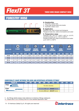## *FlexIT 3T*

### **THREE WIRE BRAID COMPACT HOSE**

## **FORESTRY HOSE**



#### **A. Construction**

- 1 Synthetic rubber tube
- 2 Three high tensile steel wire braids
- 3 Synthetic rubber cover

#### **B. Application**

Hydraulic oils, both mineral and biological Polyglycol base oils, water-oil emulsions and water

#### **C. Temperature range**

Hydraulic oils: -40°C to +100°C (-40°F to +212°F) occasional peaks up to +125°C (+250°F) Polyglycol base oils, water-oil emulsions and water: up to  $+85^{\circ}$ C ( $+185^{\circ}$ F)

| <b>HOSE TYPE</b> |           | $\bigodot$<br>Ø HOSE |             |      | $\bigcirc$<br><b>REINFORCEMENT</b><br><b>DIAMETER</b> |      | $\odot)$<br><b>OUTSIDE</b><br><b>DIAMETER</b> |       | <b>WORKING</b><br><b>PRESSURE</b> |       | $\overline{\phantom{a}}$<br><b>BURST</b><br><b>PRESSURE</b> |      | <b>BEND</b><br><b>RADIUS</b> |        | kg<br><b>WEIGHT</b>  |
|------------------|-----------|----------------------|-------------|------|-------------------------------------------------------|------|-----------------------------------------------|-------|-----------------------------------|-------|-------------------------------------------------------------|------|------------------------------|--------|----------------------|
|                  | <b>DN</b> | <b>INCH</b>          | <b>SIZE</b> | [mm] | [ <sub>in</sub> ]                                     | [mm] | $[$ in]                                       | [bar] | [psi]                             | [bar] | [psi]                                                       | [mm] | Ŵ                            | [kg/m] | [1 <sub>b</sub> /ft] |
| 3T-06            | 10        | 3/8"                 | 06          | 17,4 | 0,685                                                 | 20,0 | 0,787                                         | 500   | 7200                              | 2000  | 28800                                                       | 120  | 4,72                         | 0,50   | 0,34                 |
| 3T-08            | 12        | 1/2"                 | 08          | 20,8 | 0,819                                                 | 23,2 | 0,913                                         | 470   | 6800                              | 1880  | 27200                                                       | 160  | 6,30                         | 0,60   | 0,40                 |
| $3T-12$          | 19        | 3/4"                 | 12          | 28,2 | 1,110                                                 | 31,0 | 1,220                                         | 375   | 5400                              | 1500  | 21600                                                       | 260  | 10,24                        | 0,85   | 0,57                 |
| $3T-16$          | 25        | $-1.33$              | 16          | 34,5 | 1,358                                                 | 37,5 | 1,476                                         | 310   | 4500                              | 1240  | 18000                                                       | 310  | 12,20                        | 1,40   | 0,94                 |

#### **COMPATIBILITY CHART BETWEEN THIS HOSE AND INTERTRACO APPROVED FITTINGS\***

| <b>FlexIT 3T</b> | $-0.3$ |  |  |                           |                                                   | $-04$ $-05$ $-06$ $-08$ $-10$ $-12$ $-16$ $-20$ |  |  |
|------------------|--------|--|--|---------------------------|---------------------------------------------------|-------------------------------------------------|--|--|
| 1 Piece          |        |  |  | No-skive: <b>J</b> series |                                                   |                                                 |  |  |
| 2 Piece<br>.     |        |  |  |                           | Ext-skive: <b>B</b> insert + <b>S0420</b> ferrule |                                                 |  |  |
|                  |        |  |  |                           | No-skive: <b>B</b> insert + <b>S312T</b> ferrule  |                                                 |  |  |

\* For fittings details please make reference to Intertraco fittings catalogues.<br>\*\* Please refer to our crimping chart for more detailed application data.

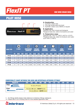

#### **ONE WIRE BRAID HOSE**

## **PILOT HOSE**



#### **A. Construction**

- 1 Synthetic rubber tube
- 2 One high tensile steel wire braid
- 3 Synthetic rubber cover, MSHA on request

#### **B. Application**

Hydraulic oils, both mineral and biological Polyglycol base oils, water-oil emulsions and water

#### **C. Temperature range**

Hydraulic oils: -40°C to +100°C (-40°F to +212°F) Polyglycol base oils, water-oil emulsions and water: up to  $+85^{\circ}$ C ( $+185^{\circ}$ F)

| <b>HOSE TYPE</b> |           | $\mathbf{O}$<br><b>Ø HOSE</b> |             |      | $\bullet$<br><b>REINFORCEMENT</b><br><b>DIAMETER</b> |      | $\left( \bigcirc \right)$<br><b>OUTSIDE</b><br><b>DIAMETER</b> |       | <b>WORKING</b><br><b>PRESSURE</b> |       | <b>BURST</b><br><b>PRESSURE</b> | <b>BEND</b> | <b>RADIUS</b>     | <b>WEIGHT</b> | kg                        |
|------------------|-----------|-------------------------------|-------------|------|------------------------------------------------------|------|----------------------------------------------------------------|-------|-----------------------------------|-------|---------------------------------|-------------|-------------------|---------------|---------------------------|
|                  | <b>DN</b> | <b>INCH</b>                   | <b>SIZE</b> | [mm] | $\mathsf{fin}$                                       | [mm] | $[$ in]                                                        | [bar] | [psi]                             | [bar] | [psi]                           | [mm]        | [ <sub>in</sub> ] | [kg/m]        | [ <b>lb</b> / <b>ft</b> ] |
| <b>PT-03</b>     | 5         | 3/16"                         | 03          | 8,7  | 0.343                                                | 10,5 | 0,413                                                          | 125   | 1800                              | 500   | 7200                            | 20          | 0,79              | 0,12          | 0,08                      |
| <b>PT-04</b>     | 6         | 1/4"                          | 04          | 9,9  | 0,390                                                | 11,7 | 0,461                                                          | 125   | 1800                              | 500   | 7200                            | 30          | 1,18              | 0,17          | 0,11                      |
| <b>PT-05</b>     | 8         | 5/16"                         | 05          | 11,7 | 0.461                                                | 13,5 | 0,531                                                          | 125   | 1800                              | 500   | 7200                            | 40          | 1,57              | 0,19          | 0,13                      |
| <b>PT-06</b>     | 10        | 3/8"                          | 06          | 13,0 | 0,512                                                | 14,6 | 0,575                                                          | 125   | 1800                              | 500   | 7200                            | 50          | 1,97              | 0,25          | 0,17                      |
| <b>PT-08</b>     | 12        | 1/2"                          | 08          | 16,2 | 0,638                                                | 18,0 | 0,709                                                          | 125   | 1800                              | 500   | 7200                            | 60          | 2,36              | 0,31          | 0,21                      |

#### **COMPATIBILITY CHART BETWEEN THIS HOSE AND INTERTRACO APPROVED FITTINGS\***

| <b>FlexIT PT</b>                             | $-03$ |                           | -04   -05   -06   -08   -10   -12   -16   -20      |  |  |  |  |
|----------------------------------------------|-------|---------------------------|----------------------------------------------------|--|--|--|--|
| 1 Piece                                      |       | No-skive: <b>T</b> series |                                                    |  |  |  |  |
| 2 Piece<br><b><i><u>B.A.A.A.A.A.</u></i></b> |       |                           | No-skive: <b>B</b> insert $+$ <b>SCX0T</b> ferrule |  |  |  |  |
|                                              |       |                           | No-skive: <b>B</b> insert + <b>SOOTK</b> ferrule   |  |  |  |  |

\*\* For fittings details please make reference to Intertraco fittings catalogues.

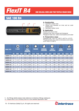*FlexIT R4*

#### **ONE HELICAL WIRE AND TWO TEXTILE BRAID HOSE**

## **SAE 100 R4**



#### **A. Construction**

- 1 Synthetic rubber tube
- 2 Helical wire between an inner and an outer textile braid
- 3 Synthetic rubber cover

#### **B. Application**

Suction and return lines Hydraulic oils, both mineral and biological Polyglycol base oils, water-oil emulsions and water

#### **C. Temperature range**

Hydraulic oils: -40°C to +100°C (-40°F to +212°F) Polyglycol base oils, water-oil emulsions and water: up to +85°C (+185°F)

| <b>HOSE TYPE</b> |           | O<br><b>Ø HOSE</b> |             |       | <b>MAX</b><br><b>OUTSIDE</b><br><b>DIAMETER</b> |       | <b>VACUUM</b> |                | WORKING<br>PRESSURE |       | $\overline{\phantom{a}}$<br><b>BURST</b><br><b>PRESSURE</b> | <b>RADIUS</b> | <b>BEND</b>                      | <b>WEIGHT</b> | kg                        |
|------------------|-----------|--------------------|-------------|-------|-------------------------------------------------|-------|---------------|----------------|---------------------|-------|-------------------------------------------------------------|---------------|----------------------------------|---------------|---------------------------|
|                  | <b>DN</b> | <b>INCH</b>        | <b>SIZE</b> | [mm]  | $[{\rm in}]$                                    | [bar] | [inHg]        | [bar]          | [psi]               | [bar] | [psi]                                                       | [mm]          | $\mathsf{I}\mathsf{I}\mathsf{n}$ | [kg/m]        | [ <b>lb</b> / <b>ft</b> ] |
| <b>SAER4-12</b>  | 19        | 3/4"               | 12          | 32,0  | 1,260                                           | 0,9   | 28            | 21             | 300                 | 84    | 1200                                                        | 125           | 4,92                             | 0,80          | 0,54                      |
| <b>SAER4-16</b>  | 25        | $-111$             | 16          | 38,0  | 1.496                                           | 0,9   | 28            | 17             | 250                 | 68    | 1000                                                        | 150           | 5,91                             | 0,95          | 0,64                      |
| <b>SAER4-20</b>  | 31        | 1.1/4"             | 20          | 45,0  | 1,772                                           | 0,9   | 28            | 14             | 200                 | 56    | 800                                                         | 200           | 7,87                             | 1,15          | 0,77                      |
| <b>SAER4-24</b>  | 38        | 1.1/2"             | 24          | 52,0  | 2,047                                           | 0,9   | 28            | 10             | 150                 | 40    | 600                                                         | 255           | 10,04                            | 1,50          | 1,01                      |
| <b>SAER4-32</b>  | 51        | 2"                 | 32          | 64,0  | 2,520                                           | 0,9   | 28            | 7              | 100                 | 28    | 400                                                         | 300           | 11,81                            | 1,80          | 1,21                      |
| <b>SAER4-40</b>  | 63        | 2.1/2"             | 40          | 77,0  | 3,031                                           | 0,9   | 28            | $\overline{4}$ | 62                  | 16    | 248                                                         | 355           | 13,98                            | 2,50          | 1,68                      |
| <b>SAER4-48</b>  | 76        | 3"                 | 48          | 90,0  | 3,543                                           | 0,9   | 28            | 4              | 56                  | 16    | 224                                                         | 460           | 18,11                            | 2,90          | 1,95                      |
| <b>SAER4-64</b>  | 102       | 4"                 | 64          | 120,0 | 4,724                                           | 0,9   | 28            | $\overline{2}$ | 35                  | 8     | 140                                                         | 610           | 24,02                            | 4,5           | 3,02                      |

\* For fittings details please make reference to Intertraco fittings catalogues.<br>\*\* Please refer to our crimping chart for more detailed application data.

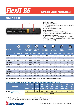

#### **ONE TEXTILE AND ONE WIRE BRAID HOSE**

## **SAE 100 R5**



#### **A. Construction**

- 1 Synthetic rubber tube
- 2 One synthetic textile and one high tensile steel wire braid
- 3 Polyester textile braid cover

#### **B. Application**

Hydraulic oils, both mineral and biological Polyglycol base oils, water-oil emulsions and water

#### **C. Temperature range**

Hydraulic oils: -40°C to +100°C (-40°F to +212°F) Polyglycol base oils, water-oil emulsions and water: up to +85°C (+185°F)

| <b>HOSE TYPE</b> |           | $\ddot{\bullet}$<br><b>Ø HOSE</b> |             |      | <b>REINFORCEMENT</b><br><b>DIAMETER</b> |      | <b>OUTSIDE</b><br><b>DIAMETER</b> |       | <b>WORKING</b><br><b>PRESSURE</b> |       | <b>BURST</b><br><b>PRESSURE</b> |      | <b>BEND</b><br><b>RADIUS</b> | <b>WEIGHT</b> | kg      |
|------------------|-----------|-----------------------------------|-------------|------|-----------------------------------------|------|-----------------------------------|-------|-----------------------------------|-------|---------------------------------|------|------------------------------|---------------|---------|
|                  | <b>DN</b> | <b>INCH</b>                       | <b>SIZE</b> | [mm] | $[$ in]                                 | [mm] | [in]                              | [bar] | [psi]                             | [bar] | [psi]                           | [mm] | [ <sub>in</sub> ]            | [kg/m]        | [1b/ft] |
| <b>SAER5-04</b>  | 5         | 3/16"                             | 04          | 11,3 | 0,445                                   | 12,9 | 0,508                             | 210   | 3000                              | 840   | 12000                           | 76   | 2,99                         | 0,25          | 0,17    |
| <b>SAER5-05</b>  | 6         | 1/4"                              | 05          | 12,9 | 0,508                                   | 14,5 | 0,571                             | 210   | 3000                              | 840   | 12000                           | 86   | 3,39                         | 0,29          | 0,19    |
| <b>SAER5-06</b>  | 8         | 5/16"                             | 06          | 15,2 | 0,598                                   | 16,8 | 0.661                             | 155   | 2250                              | 620   | 9000                            | 102  | 4,02                         | 0,36          | 0,24    |
| <b>SAER5-08</b>  | 10        | 13/32"                            | 08          | 17,5 | 0,689                                   | 19,1 | 0.752                             | 140   | 2000                              | 560   | 8000                            | 117  | 4,61                         | 0,42          | 0,28    |
| <b>SAER5-10</b>  | 12        | 1/2"                              | 10          | 21,3 | 0,839                                   | 22,9 | 0,902                             | 122   | 1750                              | 488   | 7000                            | 140  | 5,51                         | 0,57          | 0,38    |
| <b>SAER5-12</b>  | 16        | 5/8"                              | 12          | 25,5 | 1,004                                   | 27,1 | 1.067                             | 105   | 1500                              | 420   | 6000                            | 165  | 6,50                         | 0,71          | 0,47    |
| <b>SAER5-16</b>  | 22        | 7/8"                              | 16          | 29,2 | 1,150                                   | 30,8 | 1,213                             | 56    | 800                               | 224   | 3200                            | 187  | 7,36                         | 0,70          | 0,47    |
| <b>SAER5-20</b>  | 28        | 1.1/8"                            | 20          | 36,0 | 1,417                                   | 37,6 | 1,480                             | 43    | 625                               | 172   | 2500                            | 229  | 9,02                         | 0,925         | 0,62    |
| <b>SAER5-24</b>  | 35        | 1.3/8"                            | 24          | 42,8 | 1,685                                   | 44,4 | 1,748                             | 35    | 500                               | 140   | 2000                            | 267  | 10,51                        | 1,15          | 0,77    |
| <b>SAER5-32</b>  | 46        | 1.13/16"                          | 32          | 54,3 | 2,138                                   | 56,4 | 2,220                             | 24    | 350                               | 96    | 1400                            | 335  | 13,19                        | 1,39          | 0,93    |

**FlexIT R5 HT: version for high temperature with blue cover +135°C / +275°F (only for hydraulic oils)**

#### **COMPATIBILITY CHART BETWEEN THIS HOSE AND INTERTRACO APPROVED FITTINGS\***

|                                          | $-04$      | 05         | $-06$      | $-08$      | $-10$      | $-12$                     | $-16$           | $-20$      | $-24$           | $-32$      |
|------------------------------------------|------------|------------|------------|------------|------------|---------------------------|-----------------|------------|-----------------|------------|
| <b>FlexIT R5</b>                         |            | 6          | 8          | 10         | 12         | 16                        | 22              | 28         | 35              | 46         |
|                                          | 3/16"      | 1/4"       | 15/16"     | 13/32"     | 1/2"       | 5/8"                      | 7/8"            | 11/8"      | 13/8"           | 113/16"    |
| 1 Piece<br><b><i><u>AAAAAAAA</u></i></b> | <b>R04</b> | <b>R05</b> | <b>R06</b> | <b>R08</b> | <b>R10</b> | R <sub>12</sub>           | R <sub>16</sub> | <b>R20</b> | R <sub>24</sub> | <b>R32</b> |
|                                          |            |            |            |            |            | No-skive: <b>R</b> series |                 |            |                 |            |

\*\* For fittings details please make reference to Intertraco fittings catalogues.

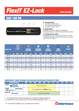## *FlexIT EZ-Lock*

## **SAE 100 R6**



#### **A. Construction**

- 1 Synthetic rubber tube
- 2 One Synthetic Textile Braid
- 3 Synthetic rubber Cover

#### **B. Application**

Hydraulic oils, both mineral and biological Polyglycol base oils, water-oil emulsions and water

#### **C. Temperature range**

Hydraulic oils: -40°C to +100°C (-40°F to +212°F) Polyglycol base oils, water-oil emulsions and water: up to  $+85^{\circ}$ C (+185 $^{\circ}$ F)

| <b>HOSE TYPE</b> |           | U<br>Ø HOSE |             |      | <b>OUTSIDE</b><br><b>DIAMETER</b> |       | <b>WORKING</b><br><b>PRESSURE</b> |       | <b>BURST</b><br><b>PRESSURE</b> |      | <b>BEND</b><br><b>RADIUS</b> | <b>WEIGHT</b> | kg      |
|------------------|-----------|-------------|-------------|------|-----------------------------------|-------|-----------------------------------|-------|---------------------------------|------|------------------------------|---------------|---------|
|                  | <b>DN</b> | <b>INCH</b> | <b>SIZE</b> | [mm] | $[{\rm in}]$                      | [bar] | [psi]                             | [bar] | [psi]                           | [mm] | $[$ in]                      | [kg/m]        | [1b/ft] |
| <b>EZ-04</b>     | 6         | 1/4"        | 04          | 12,3 | 0.484                             | 28    | 400                               | 112   | 1600                            | 65   | 2,56                         | 0,11          | 0,07    |
| <b>EZ-05</b>     | 8         | 5/16"       | 05          | 13,9 | 0,547                             | 28    | 400                               | 112   | 1600                            | 80   | 3,15                         | 0,13          | 0,08    |
| <b>EZ-06</b>     | 10        | 3/8"        | 06          | 15,5 | 0,610                             | 28    | 400                               | 112   | 1600                            | 80   | 3,15                         | 0,15          | 0,10    |
| <b>EZ-08</b>     | 12        | 1/2"        | 08          | 19,0 | 0.748                             | 28    | 400                               | 112   | 1600                            | 100  | 3,94                         | 0,20          | 0,13    |
| <b>EZ-10</b>     | 16        | 5/8"        | 10          | 22,6 | 0.890                             | 24    | 350                               | 96    | 1400                            | 125  | 4,92                         | 0,26          | 0,17    |
| <b>EZ-12</b>     | 19        | 3/4"        | 12          | 25,8 | 1,016                             | 21    | 300                               | 84    | 1200                            | 150  | 5,91                         | 0,31          | 0,20    |
| <b>EZ-16</b>     | 25        | $-1.33$     | 16          | 33,2 | 1,307                             | 9     | 130                               | 36    | 520                             | 170  | 6,69                         | 0,46          | 0,31    |

#### **COMPATIBILITY CHART BETWEEN THIS HOSE AND INTERTRACO APPROVED FITTINGS\***

| <b>FlexIT EZ-Lock</b> | $-03$ | $-04$ | $\sim$ -05 $\prime$ | $-06$                                  | -08 -10 -12         |  | -- 16 | $-20$ | .29 |
|-----------------------|-------|-------|---------------------|----------------------------------------|---------------------|--|-------|-------|-----|
| 1 Piece               |       |       |                     | No-skive: <b>T</b> series              |                     |  |       |       |     |
| 2 Piece               |       |       |                     | No-skive: $B$ insert $+$ S00TK ferrule |                     |  |       |       |     |
| <b>Push Lock</b>      |       |       |                     |                                        | Push Lock: L series |  |       |       |     |

\* For fittings details please make reference to Intertraco fittings catalogues.<br>\*\* Please refer to our crimping chart for more detailed application data.

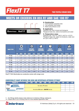## *FlexIT T7*

#### **TWO TEXTILE BRAID HOSE**

## **MEETS OR EXCEEDS EN 855 R7 AND SAE 100 R7**



#### **A. Construction**

- 1 Thermoplastic polyester tube
- 2 Two polyester wire braids
- 3 Black polyurethane cover

#### **B. Application**

Hydraulic oils, both mineral and biological Polyglycol base oils, water-oil emulsions and water

#### **C. Temperature range**

Hydraulic oils: -40°C to +100°C (-40°F to +212°F) Polyglycol base oils, water-oil emulsions, water and air: up to  $+65^{\circ}$ C ( $+149^{\circ}$ F)

| <b>HOSE TYPE</b> |           | $\mathbf Q$<br><b>Ø HOSE</b> |             |      | C<br><b>OUTSIDE</b><br><b>DIAMETER</b> |       | <b>WORKING</b><br><b>PRESSURE</b> |       | <b>BURST</b><br><b>PRESSURE</b> | <b>BEND</b> | <b>RADIUS</b>     | kg<br><b>WEIGHT</b> |                           |
|------------------|-----------|------------------------------|-------------|------|----------------------------------------|-------|-----------------------------------|-------|---------------------------------|-------------|-------------------|---------------------|---------------------------|
|                  | <b>DN</b> | <b>INCH</b>                  | <b>SIZE</b> | [mm] | $[{\rm in}]$                           | [bar] | [psi]                             | [bar] | [psi]                           | [mm]        | [ <sub>in</sub> ] | [kg/m]              | [ <b>lb</b> / <b>ft</b> ] |
| T7-03            | 5         | 3/16"                        | 03          | 10,0 | 0.394                                  | 210   | 3000                              | 840   | 12000                           | 35          | 1,38              | 0,07                | 0,05                      |
| T7-04            | 6         | 1/4"                         | 04          | 11,8 | 0,465                                  | 200   | 2900                              | 800   | 11600                           | 50          | 1,97              | 0,09                | 0,06                      |
| T7-05            | 8         | 5/16"                        | 05          | 14,3 | 0.563                                  | 190   | 2750                              | 760   | 11000                           | 55          | 2,17              | 0.13                | 0,09                      |
| T7-06            | 10        | 3/8"                         | 06          | 16,0 | 0,630                                  | 175   | 2500                              | 700   | 10000                           | 75          | 2,95              | 0,16                | 0,10                      |
| T7-08            | 12        | 1/2"                         | 08          | 20,3 | 0,799                                  | 140   | 2000                              | 560   | 8000                            | 95          | 3,74              | 0,22                | 0,15                      |
| $T7-10$          | 16        | 5/8"                         | 10          | 23,5 | 0,925                                  | 105   | 1500                              | 420   | 6000                            | 125         | 4,92              | 0,28                | 0,19                      |
| $T7-12$          | 19        | 3/4"                         | 12          | 26,5 | 1.043                                  | 90    | 1300                              | 360   | 5200                            | 150         | 5,91              | 0,33                | 0,22                      |
| $T7-16$          | 25        | 1"                           | 16          | 33,0 | 1,299                                  | 70    | 1000                              | 280   | 4000                            | 200         | 7,87              | 0,40                | 0,27                      |

**FlexIT T7 NC: Electrically non-conductive version with orange cover**

#### **COMPATIBILITY CHART BETWEEN THIS HOSE AND INTERTRACO APPROVED FITTINGS\***

| <b>FlexIT T7</b>                         | $-03$                     | $\mathbf{A}$ | $-05$ | $-06$                                              |  |  | $-08$ $-10$ $-12$ | $\sim$ -16 $\sim$ | $\sim$ -20 $\sim$ |  |  |  |  |
|------------------------------------------|---------------------------|--------------|-------|----------------------------------------------------|--|--|-------------------|-------------------|-------------------|--|--|--|--|
| l Piece<br>.                             |                           |              |       |                                                    |  |  |                   |                   |                   |  |  |  |  |
|                                          | No-skive: <b>T</b> series |              |       |                                                    |  |  |                   |                   |                   |  |  |  |  |
| 2 Piece<br><b><i><u>AAAAAAAA</u></i></b> |                           |              |       | No-skive: <b>B</b> insert $+$ <b>SOOTK</b> ferrule |  |  |                   |                   |                   |  |  |  |  |
|                                          |                           |              |       |                                                    |  |  |                   |                   |                   |  |  |  |  |

\* For fittings details please make reference to Intertraco fittings catalogues.<br>\*\* Please refer to our crimping chart for more detailed application data.

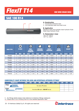

#### **ONE WIRE BRAID HOSE**

## **SAE 100 R14**



#### **A. Construction**

- 1 Polytetrafluorethylene tube
- 2 One stainless steel wire braid cover

#### **B. Application**

Petroleum base and synthetic base hydraulic fluids Water base hydraulic fluids

#### **C. Temperature range** -54°C to +204°C  $-65^{\circ}$ F to  $+400^{\circ}$ F

| <b>HOSE TYPE</b> |           | O<br><b>Ø HOSE</b> |             |      | Ô<br><b>MAX</b><br><b>OUTSIDE</b><br><b>DIAMETER</b> |       | <b>WORKING</b><br><b>PRESSURE</b> |       | <b>BURST</b><br><b>PRESSURE</b> |      | <b>BEND</b><br><b>RADIUS</b> | لہ ک<br>kg<br><b>WEIGHT</b> |                      |
|------------------|-----------|--------------------|-------------|------|------------------------------------------------------|-------|-----------------------------------|-------|---------------------------------|------|------------------------------|-----------------------------|----------------------|
|                  | <b>DN</b> | <b>INCH</b>        | <b>SIZE</b> | [mm] | [ <sub>in</sub> ]                                    | [bar] | [psi]                             | [bar] | [psi]                           | [mm] | [ <sub>in</sub> ]            | [kg/m]                      | [1 <sub>b</sub> /ft] |
| T14-02           | 3         | 1/8"               | 02          | 5,9  | 0,232                                                | 275   | 4000                              | 1100  | 16000                           | 25   | 0,98                         | 0,06                        | 0,04                 |
| T14-03           | 5         | 3/16"              | 03          | 7,4  | 0,291                                                | 200   | 2900                              | 800   | 11600                           | 35   | 1,38                         | 0,07                        | 0,05                 |
| T14-04           | 6         | 1/4"               | 04          | 8,9  | 0,350                                                | 175   | 2500                              | 700   | 10000                           | 45   | 1,77                         | 0,09                        | 0,06                 |
| T14-05           | 8         | 5/16"              | 05          | 10,9 | 0,429                                                | 150   | 2200                              | 600   | 8800                            | 50   | 1,97                         | 0,13                        | 0,08                 |
| T14-06           | 10        | 3/8"               | 06          | 12,4 | 0,488                                                | 135   | 2000                              | 540   | 8000                            | 55   | 2,17                         | 0,15                        | 0,10                 |
| T14-08           | 12        | 1/2"               | 08          | 15,7 | 0,618                                                | 120   | 1750                              | 480   | 7000                            | 70   | 2,76                         | 0,21                        | 0,14                 |
| T14-10           | 16        | 5/8"               | 10          | 19,1 | 0,752                                                | 100   | 1450                              | 400   | 5800                            | 130  | 5,12                         | 0,26                        | 0,17                 |
| T14-12           | 19        | 3/4"               | 12          | 22,2 | 0,874                                                | 90    | 1300                              | 360   | 5200                            | 190  | 7,48                         | 0,321                       | 0,22                 |
| T14-16           | 25        | 1"                 | 16          | 29,3 | 1.154                                                | 65    | 950                               | 260   | 3800                            | 270  | 10,63                        | 0,45                        | 0,30                 |

#### **COMPATIBILITY CHART BETWEEN THIS HOSE AND INTERTRACO APPROVED FITTINGS\***

| <b>FlexIT T14</b>                     | $-03$ | $\blacksquare$ | $-05$ |                                                  |  | $\overline{\phantom{0}}$ -08 -10 -12 -16 -20 |  |  |
|---------------------------------------|-------|----------------|-------|--------------------------------------------------|--|----------------------------------------------|--|--|
| 1 Piece<br>.                          |       |                |       | No-skive: <b>T</b> series                        |  |                                              |  |  |
|                                       |       |                |       |                                                  |  |                                              |  |  |
| 2 Piece<br><u>U LOCAL A DE LA DEU</u> |       |                |       | No-skive: <b>B</b> insert + <b>S014T</b> ferrule |  |                                              |  |  |
|                                       |       |                |       |                                                  |  |                                              |  |  |

\* For fittings details please make reference to Intertraco fittings catalogues.<br>\*\* Please refer to our crimping chart for more detailed application data.

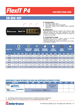## *FlexIT P4*

#### **FOUR WIRE SPIRAL HOSE**

### **EN 856 4SP**



#### **A. Construction**

- 1 Synthetic rubber tube
- 2 Four high tensile steel wire spirals
- 3 Synthetic rubber cover, MSHA flame retardant approved

#### **B. Application**

High pressure hydraulic system with extreme high pressure peaks for use with hydraulic oils, both mineral and biological, polyglycol base oils, water-oil emulsions and water

#### **C. Temperature range**

Hydraulic oils: -40°C to +100°C (-40°F to +212°F) occasional peaks up to  $+125^{\circ}C$  ( $+250^{\circ}F$ ) Polyglycol base oils, water-oil emulsions and water: up to +85°C (+185°F)

| <b>HOSE TYPE</b> |           | $\widehat{\mathbf{C}}$<br><b>Ø HOSE</b> |             |      | $^{\prime}$ O<br><b>REINFORCEMENT</b><br><b>DIAMETER</b> |      | <b>OUTSIDE</b><br><b>DIAMETER</b> |       | <b>WORKING</b><br><b>PRESSURE</b> |       | <b>BURST</b><br><b>PRESSURE</b> |      | <b>BEND</b><br><b>RADIUS</b> |        | kg<br><b>WEIGHT</b>       |
|------------------|-----------|-----------------------------------------|-------------|------|----------------------------------------------------------|------|-----------------------------------|-------|-----------------------------------|-------|---------------------------------|------|------------------------------|--------|---------------------------|
|                  | <b>DN</b> | <b>INCH</b>                             | <b>SIZE</b> | [mm] | $[{\sf in}]$                                             | [mm] | [in]                              | [bar] | [psi]                             | [bar] | [psi]                           | [mm] | (in)                         | [kg/m] | [ <b>lb</b> / <b>ft</b> ] |
| P4-04            | 6         | 1/4"                                    | 04          | 14,6 | 0,575                                                    | 17,0 | 0.669                             | 450   | 6500                              | 1800  | 26000                           | 150  | 5,91                         | 0,57   | 0,38                      |
| P4-06            | 10        | 3/8"                                    | 06          | 17,5 | 0,689                                                    | 21,2 | 0,835                             | 445   | 6500                              | 1780  | 26000                           | 180  | 7,09                         | 0,77   | 0,51                      |
| P4-08            | 12        | 1/2"                                    | 08          | 20,2 | 0,795                                                    | 24,4 | 0,961                             | 415   | 6000                              | 1660  | 24000                           | 230  | 9,06                         | 0,91   | 0,61                      |
| P4-10            | 16        | 5/8"                                    | 10          | 23,8 | 0,937                                                    | 28,0 | 1,102                             | 350   | 5000                              | 1400  | 20000                           | 250  | 9,84                         | 1,09   | 0,73                      |
| P4-12            | 19        | 3/4"                                    | 12          | 28,2 | 1,110                                                    | 32,0 | 1,260                             | 350   | 5000                              | 1400  | 20000                           | 300  | 11,81                        | 1,55   | 1,04                      |
| P4-16            | 25        | $-1.32$                                 | 16          | 35,3 | 1,390                                                    | 39,1 | 1,539                             | 280   | 4000                              | 1120  | 16000                           | 340  | 13,39                        | 1,97   | 1,32                      |

#### **COMPATIBILITY CHART BETWEEN THIS HOSE AND INTERTRACO APPROVED FITTINGS\***

| <b>FlexIT P4</b>    | -04 | 06 | $-08$                                             | <b>410 THE</b> | $\triangle 2$ | $-16$                  | $-20$ | -24 |  |
|---------------------|-----|----|---------------------------------------------------|----------------|---------------|------------------------|-------|-----|--|
| 1 Piece<br><b>.</b> |     |    |                                                   |                |               | Ext-skive: X<br>series |       |     |  |
| 2 Piece<br>.        |     |    | Ext-skive: <b>B</b> insert + <b>S0420</b> ferrule |                |               |                        |       |     |  |

\* For fittings details please make reference to Intertraco fittings catalogues.<br>\*\* Please refer to our crimping chart for more detailed application data.

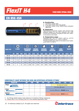

#### **FOUR WIRE SPIRAL HOSE**

### **EN 856 4SH**



#### **A. Construction**

- 1 Synthetic rubber tube
- 2 Four high tensile steel wire spirals
- 3 Synthetic rubber cover, MSHA flame retardant approved

#### **B. Application**

High pressure hydraulic system with extreme high pressure peaks for use with hydraulic oils, both mineral and biological, polyglycol base oils, wateroil emulsions and water

#### **C. Temperature range**

Hydraulic oils: -40°C to +100°C (-40°F to +212°F) occasional peaks up to  $+125^{\circ}$ C ( $+250^{\circ}$ F) Polyglycol base oils, water-oil emulsions and water: up to +85°C (+185°F)

| <b>HOSE TYPE</b> |           | Ô<br><b>Ø HOSE</b> |             | $\bigcirc$<br><b>REIN</b> | <b>NFORCEMENT</b><br><b>DIAMETER</b> |      | $\bigcirc$<br><b>OUTSIDE</b><br><b>DIAMETER</b> |       | <b>WORKING</b><br><b>PRESSURE</b> |       | $\overline{\phantom{a}}$<br><b>BURST</b><br><b>PRESSURE</b> |      | <b>BEND</b><br><b>RADIUS</b> | <b>WEIGHT</b> | kg      |
|------------------|-----------|--------------------|-------------|---------------------------|--------------------------------------|------|-------------------------------------------------|-------|-----------------------------------|-------|-------------------------------------------------------------|------|------------------------------|---------------|---------|
|                  | <b>DN</b> | <b>INCH</b>        | <b>SIZE</b> | [mm]                      | $[{\rm in}]$                         | [mm] | [ <sub>in</sub> ]                               | [bar] | [psi]                             | [bar] | [psi]                                                       | [mm] | Ŵ                            | [kg/m]        | [1b/ft] |
| H4-12            | 19        | 3/4"               | 12          | 28,4                      | 1,118                                | 32,2 | 1,268                                           | 420   | 6000                              | 680   | 24000                                                       | 280  | 11,02                        | 1,45          | 0,97    |
| H4-16            | 25        | 1"                 | 16          | 35,2                      | 1,386                                | 38,7 | 1,524                                           | 380   | 5500                              | 1520  | 22000                                                       | 340  | 13,39                        | 2,14          | 1,44    |
| H4-20            | 31        | 1.1/4"             | 20          | 41,9                      | 1,650                                | 45,5 | 1,791                                           | 350   | 5000                              | 1400  | 20000                                                       | 460  | 18,11                        | 2,51          | 1,69    |
| H4-24            | 38        | 1.1/2"             | 24          | 48,8                      | 1,921                                | 53,5 | 2,106                                           | 300   | 4350                              | 1200  | 17400                                                       | 560  | 22,05                        | 3,26          | 2,19    |
| H4-32            | 51        | 2"                 | 32          | 63,2                      | 2,488                                | 68,1 | 2,681                                           | 250   | 3600                              | 1000  | 14400                                                       | 700  | 27,56                        | 4,73          | 3,18    |

#### **COMPATIBILITY CHART BETWEEN THIS HOSE AND INTERTRACO APPROVED FITTINGS\***

| <b>FlexIT H4</b> | $-04$ | $-06$ | $-08$ | $-10$ | $-12$ | $-16$ | $-20$                      | $-24$                                             | $-32$ |
|------------------|-------|-------|-------|-------|-------|-------|----------------------------|---------------------------------------------------|-------|
| 1 Piece          |       |       |       |       |       |       | No-skive: <b>J</b> -series |                                                   |       |
|                  |       |       |       |       |       |       | Ext-skive: X series        |                                                   |       |
| 2 Piece<br>.     |       |       |       |       |       |       |                            | Ext-skive: <b>B</b> insert + <b>S0420</b> ferrule |       |
| <b>Interlock</b> |       |       |       |       |       |       |                            | Interlock: I insert + <b>S004I</b> ferrule        |       |

\* For fittings details please make reference to Intertraco fittings catalogues.<br>\*\* Please refer to our crimping chart for more detailed application data.

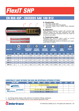

## **EN 856 4SP - EXCEEDS SAE 100 R12**



**Cintertraco FlexIT 600** 



- 2 Four high tensile steel wire spirals
- 3 Synthetic rubber cover, MSHA flame retardant approved

#### **B. Application**

High pressure hydraulic system with extreme high pressure peaks for use with hydraulic oils, both mineral and biological, polyglycol base oils, water-oil emulsions and water

#### **C. Temperature range**

Hydraulic oils: -40°C to +100°C (-40°F to +212°F) occasional peaks up to  $+125^{\circ}C$  ( $+250^{\circ}F$ ) Polyglycol base oils, water-oil emulsions and water: up to +85°C (+185°F)

| <b>HOSE TYPE</b> |           | $\mathbf{O}$<br><b>Ø HOSE</b> |             | $\mathbf{O}$<br>REI | NFORCEMENT<br><b>DIAMETER</b> |      | <b>OUTSIDE</b><br><b>DIAMETER</b> |       | <b>WORKING</b><br><b>PRESSURE</b> |       | <b>BURST</b><br><b>PRESSURE</b> |      | <b>BEND</b><br><b>RADIUS</b> | <b>WEIGHT</b> | kg      |
|------------------|-----------|-------------------------------|-------------|---------------------|-------------------------------|------|-----------------------------------|-------|-----------------------------------|-------|---------------------------------|------|------------------------------|---------------|---------|
|                  | <b>DN</b> | <b>INCH</b>                   | <b>SIZE</b> | [mm]                | (in)                          | [mm] | $[\mathbf{\bar{m}}]$              | [bar] | [psi]                             | [bar] | [psi]                           | [mm] | $[{\rm in}]$                 | [kg/m]        | [lb/ft] |
| <b>SHP-06</b>    | 10        | 3/8"                          | 06          | 17,5                | 0,689                         | 19,5 | 0.768                             | 450   | 6500                              | 1800  | 26000                           | 180  | 7,09                         | 0,69          | 0,46    |
| <b>SHP-08</b>    | 12        | 1/2"                          | 08          | 20,3                | 0,799                         | 22,3 | 0,878                             | 420   | 6000                              | 1680  | 24000                           | 230  | 9,06                         | 0,80          | 0,54    |
| <b>SHP-10</b>    | 16        | 5/8"                          | 10          | 23,8                | 0,937                         | 25,8 | 1.016                             | 350   | 5000                              | 1400  | 20000                           | 250  | 9,84                         | 0,96          | 0,64    |
| <b>SHP-12</b>    | 19        | 3/4"                          | 12          | 28,2                | 1,110                         | 30,2 | 1,189                             | 350   | 5000                              | 1400  | 20000                           | 300  | 11,81                        | 1,42          | 0,95    |
| <b>SHP-16</b>    | 25        | $-111$                        | 16          | 35,1                | ,382                          | 37,3 | 1,469                             | 280   | 4000                              | 1120  | 16000                           | 300  | 11,81                        | 1,85          | 1,24    |

#### **COMPATIBILITY CHART BETWEEN THIS HOSE AND INTERTRACO APPROVED FITTINGS\***

| <b>FlexIT SHP</b>                        | $-04$ | $-06$ |                           | $-08$ $-10$ $-12$                                | $-16$ | $-20$ | $-24$ |  |
|------------------------------------------|-------|-------|---------------------------|--------------------------------------------------|-------|-------|-------|--|
| 1 Piece                                  |       |       | No-skive: <b>J</b> series |                                                  |       |       |       |  |
|                                          |       |       |                           | Ext-skive: X series                              |       |       |       |  |
| 2 Piece<br><b><i><u>AAAAAAAA</u></i></b> |       |       |                           | No-skive: <b>B</b> insert + <b>S312T</b> series  |       |       |       |  |
|                                          |       |       |                           | Ext-skive: <b>B</b> insert + <b>S0420</b> series |       |       |       |  |

\* For fittings details please make reference to Intertraco fittings catalogues.<br>\*\* Please refer to our crimping chart for more detailed application data.

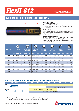## *FlexIT S12*

### **FOUR WIRE SPIRAL HOSE**

## **MEETS OR EXCEEDS SAE 100 R12**



#### **A. Construction**

- 1 Synthetic rubber tube
- 2 Four high tensile steel wire spirals
- 3 Synthetic rubber cover, MSHA flame retardant approved

#### **B. Application**

High pressure hydraulic system for use with hydraulic oils, both mineral and biological, polyglycol base oils, water-oil emulsions and water

#### **C. Temperature range**

Hydraulic oils: -40°C to +121°C (-40°F to +250°F) occasional peaks up to +125°C (+257°F) Polyglycol base oils, water-oil emulsions and water: up to  $+85^{\circ}$ C ( $+185^{\circ}$ F)

| <b>HOSE TYPE</b>    | O<br><b>Ø HOSE</b><br><b>INCH</b><br><b>DN</b> |        |             | $\bigcup$ | <b>REINFORCEMENT</b><br><b>DIAMETER</b> |      | $\cup$<br><b>OUTSIDE</b><br><b>DIAMETER</b> |       | WORKING<br><b>PRESSURE</b> |       | <b>BURST</b><br><b>PRESSURE</b> |      | <b>BEND</b><br><b>RADIUS</b> | <b>WEIGHT</b> | kg                        |
|---------------------|------------------------------------------------|--------|-------------|-----------|-----------------------------------------|------|---------------------------------------------|-------|----------------------------|-------|---------------------------------|------|------------------------------|---------------|---------------------------|
|                     |                                                |        | <b>SIZE</b> | [mm]      | $[{\rm in}]$                            | [mm] | [ <sub>in</sub> ]                           | [bar] | [psi]                      | [bar] | [psi]                           | [mm] | $\overline{\text{m}}$        | [kg/m]        | [ <b>lb</b> / <b>ft</b> ] |
| S <sub>12</sub> -06 | 10                                             | 3/8"   | 06          | 17,2      | 0,677                                   | 20,3 | 0,799                                       | 280   | 4000                       | 1120  | 16000                           | 125  | 4,92                         | 0,70          | 0,47                      |
| S <sub>12</sub> -08 | 12                                             | 1/2"   | 08          | 20,7      | 0,815                                   | 23,8 | 0,937                                       | 280   | 4000                       | 1120  | 16000                           | 180  | 7,09                         | 0,84          | 0,56                      |
| S <sub>12</sub> -10 | 16                                             | 5/8"   | 10          | 24,6      | 0,969                                   | 27,4 | 1.079                                       | 280   | 4000                       | 1120  | 16000                           | 200  | 7,87                         | 1,10          | 0,74                      |
| S <sub>12</sub> -12 | 19                                             | 3/4"   | 12          | 27,7      | 1,091                                   | 30,7 | 1,209                                       | 280   | 4000                       | 1120  | 16000                           | 240  | 9,45                         | 1,33          | 0,89                      |
| S <sub>12</sub> -16 | 25                                             | $-111$ | 16          | 34,9      | 1,374                                   | 38,0 | 1,496                                       | 280   | 4000                       | 1120  | 16000                           | 300  | 11,81                        | 1,85          | 1,24                      |
| S <sub>12</sub> -20 | 31                                             | 1.1/4" | 20          | 43,6      | 1,717                                   | 45,8 | 1,803                                       | 210   | 3000                       | 840   | 12000                           | 420  | 16,54                        | 2,53          | 1,70                      |
| S12-24              | 38                                             | 1.1/2" | 24          | 50,1      | 1,972                                   | 52,3 | 2,059                                       | 210   | 3000                       | 840   | 12000                           | 500  | 19,69                        | 2,96          | 1,99                      |
| S <sub>12</sub> -32 | 51                                             | 2"     | 32          | 63,6      | 2,504                                   | 66,7 | 2,626                                       | 210   | 3000                       | 840   | 12000                           | 630  | 24,80                        | 4,30          | 2,89                      |

#### **COMPATIBILITY CHART BETWEEN THIS HOSE AND INTERTRACO APPROVED FITTINGS\***

| <b>FlexIT S12</b>                        | $-04$ | $-06/$ | -08 | $-10$ | $-12$                                            | -16 | $-20$               | $-24$ |  |
|------------------------------------------|-------|--------|-----|-------|--------------------------------------------------|-----|---------------------|-------|--|
| 1 Piece<br>.                             |       |        |     |       | No-skive: <b>J</b> series                        |     |                     |       |  |
|                                          |       |        |     |       |                                                  |     | Ext-skive: X series |       |  |
| 2 Piece<br><b><i><u>AAAAAAAA</u></i></b> |       |        |     |       | No-skive: <b>B</b> insert + <b>S312T</b> series  |     |                     |       |  |
|                                          |       |        |     |       | Ext-skive: <b>B</b> insert + <b>S0420</b> series |     |                     |       |  |

\* For fittings details please make reference to Intertraco fittings catalogues.<br>\*\* Please refer to our crimping chart for more detailed application data.

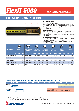## *FlexIT 5000*

#### **FOUR OR SIX WIRE SPIRAL HOSE**

## **EN 856 R13 - SAE 100 R13**



#### **A. Construction**

- 1 Synthetic rubber tube
- 2 Four high tensile steel wire spirals for sizes 12 and 16 and six high tensile steel wire spirals for other sizes
- 3 Synthetic rubber cover, MSHA flame retardant approved

#### **B. Application**

High pressure hydraulic system with extreme high pressure peaks for use with hydraulic oils, both mineral and biological, polyglycol base oils, water-oil emulsions and water

#### **C. Temperature range**

Hydraulic oils: -40°C to +121°C (-40°F to +250°F) occasional peaks up to +125°C (+257°F) Polyglycol base oils, water-oil emulsions and water: up

to  $+85^{\circ}$ C (+185 $^{\circ}$ F)

| <b>HOSE TYPE</b>      |           | $\ddot{\mathbf{O}}$<br><b>Ø HOSE</b> |             | $\bigcirc$ | <b>REINFORCEMENT</b><br><b>DIAMETER</b> |      | $\bigcirc$<br><b>OUTSIDE</b><br><b>DIAMETER</b> |       | <b>WORKING</b><br><b>PRESSURE</b> |       | <b>BURST</b><br><b>PRESSURE</b> | <b>BEND</b> | <b>RADIUS</b> | <b>WEIGHT</b> | kg               |
|-----------------------|-----------|--------------------------------------|-------------|------------|-----------------------------------------|------|-------------------------------------------------|-------|-----------------------------------|-------|---------------------------------|-------------|---------------|---------------|------------------|
|                       | <b>DN</b> | <b>INCH</b>                          | <b>SIZE</b> | [mm]       | [in]                                    | [mm] | $[$ in]                                         | [bar] | [psi]                             | [bar] | [psi]                           | [mm]        | $[$ in]       | [kg/m]        | [ <b>lb</b> /ft] |
| <b>FlexIT 5000-12</b> | 19        | 3/4"                                 | 12          | 29,0       | 1,142                                   | 32,1 | 1,264                                           | 350   | 5000                              | 1400  | 20000                           | 241         | 9,49          | 1,60          | 1,08             |
| <b>FlexIT 5000-16</b> | 25        | 1"                                   | 16          | 35,1       | 1,382                                   | 38,4 | 1.512                                           | 350   | 5000                              | 1400  | 20000                           | 300         | 11.81         | 2,13          | 1,43             |
| <b>FlexIT 5000-20</b> | -31       | 1.1/4"                               | 20          | 46,8       | 1,843                                   | 49,8 | 1.961                                           | 350   | 5000                              | 1400  | 20000                           | 420         | 16.54         | 4,40          | 2,96             |
| <b>FlexIT 5000-24</b> | 38        | 1.1/2"                               | 24          | 54,3       | 2,138                                   | 57,3 | 2,256                                           | 350   | 5000                              | 1400  | 20000                           | 500         | 19,69         | 4,80          | 3,23             |
| <b>FlexIT 5000-32</b> | 51        | 2"                                   | 32          | 68,1       | 2,681                                   | 71,1 | 2,799                                           | 350   | 5000                              | 1400  | 20000                           | 635         | 25,00         | 7,20          | 4,84             |

#### **COMPATIBILITY CHART BETWEEN THIS HOSE AND INTERTRACO APPROVED FITTINGS\***

| <b>FlexIT 5000</b>                     | $-04$ | 66 | $-08$ | <b>4107</b> | $-12$ | $-16$                                        | $-20$ | $-24$                                                  | -32 |
|----------------------------------------|-------|----|-------|-------------|-------|----------------------------------------------|-------|--------------------------------------------------------|-----|
| 1 Piece<br><b><i><u>AAAAAA</u></i></b> |       |    |       |             |       |                                              |       | No-skive: H series                                     |     |
|                                        |       |    |       |             |       |                                              |       | Ext-skive: X series                                    |     |
| <b>Interlock</b><br><b>AAAAAAA</b>     |       |    |       |             |       | Interlock:<br>linsert + <b>S004I</b> ferrule |       | Interlock:<br><b>I</b> insert $+$ <b>S006I</b> ferrule |     |

\* For fittings details please make reference to Intertraco fittings catalogues.<br>\*\* Please refer to our crimping chart for more detailed application data.

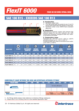## *FlexIT 6000*

### **FOUR OR SIX WIRE SPIRAL HOSE**

## **SAE 100 R15 - EXCEEDS SAE 100 R13**



#### **A. Construction**

- 1 Synthetic rubber tube
- 2 Four high tensile steel wire spirals for size 12 and 16 and six high tensile steel wire spirals for other sizes
- 3 Synthetic rubber cover, MSHA flame retardant approved

#### **B. Application**

High pressure hydraulic system with extreme high pressure peaks for use with hydraulic oils, both mineral and biological, polyglycol base oils, wateroil emulsions and water

#### **C. Temperature range**

Hydraulic oils: -40°C to +121°C (-40°F to +250°F) occasional peaks up to  $+125^{\circ}$ C ( $+257^{\circ}$ F) Polyglycol base oils, water-oil emulsions and water: up to +85°C (+185°F)

| <b>HOSE TYPE</b>      |           | $\mathbf{C}$<br><b>Ø HOSE</b> |             | <b>REINFORCEMENT</b> | <b>DIAMETER</b> |      | <b>OUTSIDE</b><br><b>DIAMETER</b> |       | <b>WORKING</b><br><b>PRESSURE</b> |       | <b>BURST</b><br><b>PRESSURE</b> |      | <b>BEND</b><br><b>RADIUS</b> | <b>WEIGHT</b> | kg                        |
|-----------------------|-----------|-------------------------------|-------------|----------------------|-----------------|------|-----------------------------------|-------|-----------------------------------|-------|---------------------------------|------|------------------------------|---------------|---------------------------|
|                       | <b>DN</b> | <b>INCH</b>                   | <b>SIZE</b> | [mm]                 | $\text{[in]}$   | [mm] | $[$ in]                           | [bar] | [psi]                             | [bar] | [psi]                           | [mm] | $\text{[in]}$                | [kg/m]        | [ <b>lb</b> / <b>ft</b> ] |
| <b>FlexIT 6000-12</b> | 19        | 3/4"                          | 12          | 28,1                 | 1.106           | 30,7 | 1,209                             | 420   | 6000                              | 1680  | 24000                           | 280  | 11,02                        | 1,50          | 1,01                      |
| <b>FlexIT 6000-16</b> | 25        | 1"                            | 16          | 35,2                 | 1,386           | 38,3 | 1,508                             | 420   | 6000                              | 1680  | 24000                           | 340  | 13,39                        | 2,00          | 1,34                      |
| <b>FlexIT 6000-20</b> | 31        | 1.1/4"                        | 20          | 46,8                 | 1,843           | 49,4 | 1,945                             | 420   | 6000                              | 1680  | 24000                           | 420  | 16,54                        | 3,48          | 2,34                      |
| <b>FlexIT 6000-24</b> | 38        | 1.1/2"                        | 24          | 53,4                 | 2,102           | 57,3 | 2,256                             | 420   | 6000                              | 1680  | 24000                           | 510  | 20.08                        | 4,63          | 3,11                      |
| FlexIT 6000-32        | 51        | 2"                            | 32          | 67,3                 | 2,650           | 71,7 | 2,823                             | 420   | 6000                              | 1680  | 24000                           | 630  | 24,80                        | 6,70          | 4,50                      |

#### **COMPATIBILITY CHART BETWEEN THIS HOSE AND INTERTRACO APPROVED FITTINGS\***

| <b>FlexIT 6000</b>                 | $-04$ | $-06$ | $-08$ | $-10$ | $-12$ | $-16$                                        | $-20$                          | $-24$      | $-32$                          |
|------------------------------------|-------|-------|-------|-------|-------|----------------------------------------------|--------------------------------|------------|--------------------------------|
| 1 Piece                            |       |       |       |       |       |                                              | Ext-skive: X series            |            |                                |
|                                    |       |       |       |       |       |                                              |                                |            | Ext-skive:<br><b>XL</b> series |
| <b>Interlock</b><br><b>AAAAAAA</b> |       |       |       |       |       | Interlock:<br>linsert + <b>S004I</b> ferrule | linsert + <b>S006I</b> ferrule | Interlock: | Interlock:<br>$Z +$ SZ061      |

\* For fittings details please make reference to Intertraco fittings catalogues.<br>\*\* Please refer to our crimping chart for more detailed application data.

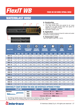

#### **FOUR OR SIX WIRE SPIRAL HOSE**

## **WATERBLAST HOSE**



*<u>Uintertraco FlexIT WB3</u>* 

#### **A. Construction**

- 1 Synthetic rubber tube
- 2 Four high tensile steel wire spirals for all sizes except for six high tensile steel wire spiral for WB3-08 and WB3-12 hoses
- 3 Synthetic rubber cover

#### **B. Application**

Very high constant pressure hose for water and water emulsions scaling systems

#### **C. Temperature range**

-40°C to +80°C (-40°F to +176°F)

| <b>HOSE TYPE</b> |           | $\ddot{\mathbf{O}}$<br><b>Ø HOSE</b> |             |      | $\tilde{O}$<br><b>REINFORCEMENT</b><br><b>DIAMETER</b> |      | $\left( \bigcirc \right)$<br><b>OUTSIDE</b><br><b>DIAMETER</b> |              | $\blacktriangledown$<br><b>WORKING</b><br><b>PRESSURE</b> |       | $\mathbb{Z}^2$<br><b>BURST</b><br><b>PRESSURE</b> | N    | <b>BEND</b><br><b>RADIUS</b> |        | kg<br><b>WEIGHT</b>  |
|------------------|-----------|--------------------------------------|-------------|------|--------------------------------------------------------|------|----------------------------------------------------------------|--------------|-----------------------------------------------------------|-------|---------------------------------------------------|------|------------------------------|--------|----------------------|
|                  | <b>DN</b> | <b>INCH</b>                          | <b>SIZE</b> | [mm] | [ <sub>in</sub> ]                                      | [mm] | [ <sub>in</sub> ]                                              | <b>[bar]</b> | [psi]                                                     | [bar] | [psi]                                             | [mm] | $[$ in]                      | [kg/m] | [1 <sub>b</sub> /ft] |
| <b>WB1-04</b>    | 6         | 1/4"                                 | 04          | 14,7 | 0,579                                                  | 17,9 | 0.705                                                          | 800          | 11500                                                     | 2000  | 28750                                             | 125  | 4,92                         | 0.61   | 0,41                 |
| <b>WB1-06</b>    | 10        | 3/8"                                 | 06          | 17,5 | 0,689                                                  | 21,2 | 0,835                                                          | 800          | 11500                                                     | 2000  | 28750                                             | 155  | 6,10                         | 0,78   | 0,52                 |
| <b>WB1-08</b>    | 12        | 1/2"                                 | 08          | 20,2 | 0,795                                                  | 24,4 | 0,961                                                          | 800          | 11500                                                     | 2000  | 28750                                             | 200  | 7,87                         | 0,91   | 0,61                 |
| <b>WB1-12</b>    | 19        | 3/4"                                 | 12          | 28,2 | 1.110                                                  | 32,0 | 1.260                                                          | 700          | 10000                                                     | 1750  | 25000                                             | 250  | 9,84                         | 1,54   | 1,03                 |
| <b>WB1-16</b>    | 25        | 1"                                   | 16          | 35,1 | 1.382                                                  | 38,4 | 1,512                                                          | 700          | 10000                                                     | 1750  | 25000                                             | 300  | 11,81                        | 2,13   | 1,43                 |
| <b>WB2-04</b>    | 6         | 1/4"                                 | 04          | 14,6 | 0,575                                                  | 17,8 | 0.701                                                          | 1250         | 18000                                                     | 3125  | 45000                                             | 200  | 7,87                         | 0,46   | 0,31                 |
| <b>WB2-06</b>    | 10        | 3/8"                                 | 06          | 18,1 | 0,713                                                  | 20,8 | 0,819                                                          | 1250         | 18000                                                     | 3125  | 45000                                             | 230  | 9,06                         | 0,90   | 0,60                 |
| <b>WB2-08</b>    | 12        | 1/2"                                 | 08          | 22,2 | 0.874                                                  | 24,6 | 0.969                                                          | 1100         | 16000                                                     | 2750  | 40000                                             | 230  | 9.06                         | 1,24   | 0,83                 |
| <b>WB2-12</b>    | 19        | 3/4"                                 | 12          | 29,0 | 1,142                                                  | 32,0 | 1,260                                                          | 1000         | 14500                                                     | 2500  | 36250                                             | 250  | 9,84                         | 1,87   | 1,26                 |
| <b>WB3-04</b>    | 6         | 1/4"                                 | 04          | 15,4 | 0,606                                                  | 18,4 | 0,724                                                          | 1400         | 20000                                                     | 3500  | 50000                                             | 125  | 4,92                         | 0,49   | 0,33                 |
| <b>WB3-06</b>    | 10        | 3/8"                                 | 06          | 19,2 | 0,756                                                  | 22,2 | 0,874                                                          | 1400         | 20000                                                     | 3500  | 50000                                             | 150  | 5,91                         | 0,71   | 0,48                 |
| <b>WB3-08</b>    | 12        | 1/2"                                 | 08          | 25,9 | 1,020                                                  | 29,0 | 1,142                                                          | 1450         | 21000                                                     | 3625  | 52500                                             | 250  | 9,84                         | 1,87   | 1,25                 |
| <b>WB3-12</b>    | 19        | 3/4"                                 | 12          | 32,4 | 1,276                                                  | 34,0 | 1,339                                                          | 1350         | 19500                                                     | 3375  | 48750                                             | 300  | 11,81                        | 2,14   | 1,44                 |

#### **COMPATIBILITY CHART BETWEEN THIS HOSE AND INTERTRACO APPROVED FITTINGS\***

| <b>ZEI AX IT WRZ</b> |                                                    | -04                                                | -06 | -08 | -10 |  | Æ16/ |  |
|----------------------|----------------------------------------------------|----------------------------------------------------|-----|-----|-----|--|------|--|
| Waterblast           | Waterblast: <b>W</b> insert $+$ <b>WS4</b> ferrule |                                                    |     |     |     |  |      |  |
| .                    | <b>WB2</b>                                         | Waterblast: <b>W</b> insert $+$ <b>WS4</b> ferrule |     |     |     |  |      |  |
|                      | WB <sub>3</sub>                                    | Waterblast: <b>W</b> insert $+$ <b>WS6</b> ferrule |     |     |     |  |      |  |

\*\* For fittings details please make reference to Intertraco fittings catalogues.

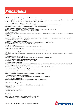## *Precautions*

#### **1.Protection against damage and other troubles**

Avoid using the hose assembly beyond the scope of its specifications. It may cause serious problems such an early burst or leakage. For safe application, note the following instructions:

#### • Do not touch the hose and the coupling under pressure.

Should a hose or a coupling break, it may cause severe injuries, such as burn or destruction of your organs. Apply plastic cover for protecion, unless the contact with them can be avoidable.

#### • Use a hose under the maximum working pressure.

The use over the maximum working pressure may lead to burst of a hose or a coupling come-off. Follow the maximum working pressure guided in its specification.

#### . Do not hurt the hose.

To protect hose assemblies from excessive wear caused by sharp objects or abrasive materials, use open wound or flat armor spring guards.

#### • Avoid using a hose with a twist or a pull.

Should the twisted or pulled hose be applied with a pressure, the hose, particularly the hose end, may possibly suffer a break. If it is unavoidable, be sure to use a swivel joint.

#### • Avoid using a hose with a sharp bend. The use of a hose with a sharp bend may cause an early break or other unexpected troubles.

Utilize proper adapters or spring guards to avoid excessive bending.

#### • Do not be electrified.

Electrifying a hose may lead to a break of the hose or an electric shock.

#### Tighten the recommended torque.

When a hose is connected to machine, be sure to apply the recommended torque.

#### • Apply the appropriate fluid.

The use of the inappropriate fluid will deteriorate the inner tube or the reinforcement, which will lead to burst of a hose or a coupling come-off.

#### • Keep the minimum bending radius.

When the hose is bent smaller than the minimum bending radius, it may cause early burst.

#### • Do not put the external force such as excessive impulse.

Under the excessive external force, the service will decline.

#### • Keep the temperature range.

The use of a hose over the temperature range will lead to burst or problems around the coupling, such as leakage, or come-off.

#### • Do not put the excessive negative pressure.

Under the excessive negative pressure, the inner tube will scrape, which will lead to leakage.

#### . Do not put into the water or any other liquid

In water, the hose undergoes external pressure, wich will reduce the service life of a hose.

#### • Remove the air inside.

The air left inside may cause the scrape of inner tube, wich will lead to leakage.

#### • Keep the minimum exposed hose lenght.

To acquire the service life of the hose, keep at least the minimum exposed hose length.

#### Do not fix or remodel a hose.

The fixed or remodeled hose does not show the service life of the specification.

#### **2.Maintenance inspection**

At the inception, be sure that none of the following can be found.

- Damage of a hose
- Swelling of a hose
- Exposure of a Reinforcement
- Transformation (ex. sharp bending)

#### **3.Storage**

- Avoid direct rays of the sun, noxious gasses, oils and chemicals.
- Store in dry place at temperature range of -10°C to +40°C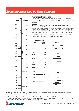### *Selecting Hose Size by Flow Capacity*



**d** = hose inside diameter (mm /dash size)

**Q** = flow in liter per minute or US Gallons per minute **V** = velocity in meter per seconds or feet per seconds

- \* Gallons are US gallons Conversion rate: Gal/min x 3,785=l/min feet/s x 0,3048=m/s
- \*\* Recommended velocities are according to hydraulic fluids of maximum viscosity 315 S.S.U. at 38°C (100°F) working at room temperatures within 18°C (65°F) and 68°C (155°F).

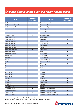### *Chemical Compatibility Chart For FlexIT Rubber Hoses*

| <b>FLUID</b>               | <b>CHEMICAL</b><br><b>RESISTANCE*</b> | <b>FLUID</b>                             | <b>CHEMICAL</b><br><b>RESISTANCE*</b> |
|----------------------------|---------------------------------------|------------------------------------------|---------------------------------------|
| Acetic acid, glacial       | G                                     | Carbon tetrachloride                     | L                                     |
| Acetic acid, less than 10% | G                                     | Carbonic acid                            |                                       |
| Acetic acid, over 10%      | F                                     | Carbonic acid, phenol                    | $\overline{a}$                        |
| Acetic anhydride           | F                                     | Chlorine gas, dry                        | F                                     |
| Acetone                    | Chlorine gas, wet<br>L                |                                          | L                                     |
| Acetylene                  | F                                     | Chloroform                               |                                       |
| Air (under 20 bar)         | Chlorosulfonic acid<br>Н              |                                          | L                                     |
| Aluminum chloride          |                                       | Chromic acid                             | L                                     |
| Aluminum sulphate          | $\overline{\phantom{a}}$              | Citric acid                              | G                                     |
| Ammonia gas, cold          | L                                     | Copper chloride                          |                                       |
| Ammonia gas, hot           | F                                     | Cottonseed oil                           | G                                     |
| Ammonia aqueous            | F                                     | Creosote oil                             |                                       |
| Ammonium chloride          | $\overline{\phantom{a}}$              | Cresol                                   | F                                     |
| Ammonium hydroxide         | G                                     | Cyclohexane                              | F                                     |
| Ammonium nitrate           |                                       | Ether                                    | Η                                     |
| Ammonium sulphate          |                                       | <b>ETHL</b> acetate                      |                                       |
| Amyl acetate               | L                                     | ETHL alchol                              | H                                     |
| Amyl alchol                |                                       | <b>ETHL</b> chloride                     |                                       |
| Aniline                    | L                                     | Ethylene cellulose                       | G                                     |
| Asphalt                    | F                                     | Ethylene dichloride                      |                                       |
| Barium chloride            | $\overline{\phantom{a}}$              | Ethylene glycol                          | $\overline{H}$                        |
| <b>Benzene</b>             | Т                                     | Ferric chloride                          |                                       |
| Benzine                    | G                                     | Ferric sulphate                          | $\overline{\phantom{0}}$              |
| Boric acid                 | H                                     | Formaldehyde                             | F                                     |
| Brake oil, dot 3           | F                                     | Formic acid                              | G                                     |
| Brake oil, dot 4           | F                                     | <b>Fuels oils</b>                        |                                       |
| Brake oil, dot 5           | G                                     | Furfural                                 | F                                     |
| <b>Bromine</b>             | L                                     | Glycerin                                 | н                                     |
| <b>Butane</b>              | F                                     | Grease, petro                            | Н                                     |
| <b>Butyl acetate</b>       | L                                     | Heavy water                              | H                                     |
| Butyl alchol               | $\overline{\phantom{a}}$              | Heptane                                  | L                                     |
| Calcium chloride           |                                       | Hexane                                   | L                                     |
| Calcium hydroxide          | ${\mathsf G}$                         | Hydraulic oil, chlorine base             | L                                     |
| Calcium hypochlorite       |                                       | Hydraulic oil, ordinary petro            | H                                     |
| Carbon dioxide             | Н                                     | Hydraulic oil, phosphate ester           | L                                     |
| Carbon disulphide          | L                                     | Hydraulic oil, sodium silicate base<br>G |                                       |

\*Chemical Compatibility Chart For FlexIT Rubber Hoses

**H**: High, **G**: Good, **F**: Fair, **L**: Low, application not recommended or permitted.

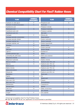### *Chemical Compatibility Chart For FlexIT Rubber Hoses*

| <b>FLUID</b>                       | <b>CHEMICAL</b><br><b>RESISTANCE*</b> | <b>FLUID</b>              | <b>CHEMICAL</b><br><b>RESISTANCE*</b> |
|------------------------------------|---------------------------------------|---------------------------|---------------------------------------|
| Hydraulic oil, water glycol        | F                                     | Phosphoric acid           |                                       |
| Hydraulic oil water & oil emulsion | F                                     | Picric acid               |                                       |
| Hydrobromic acid                   | ٠                                     | Potassium chloride        |                                       |
| Hydrocyanic acid                   | G                                     | Potassium hydroxide       | G                                     |
| Hydrofluoric acid, cold            | Ē,                                    | Potassium sulphate        |                                       |
| Hydrofluoric acid, hot             |                                       | Salt water                | Н                                     |
| Hydrogen                           | F                                     | Silicone oils             |                                       |
| Hydrogen peroxide, concentrated    |                                       | Soap solutions            | F                                     |
| Hydrogen peroxide, diluted         | ۰                                     | Sodium carbonate          | Н                                     |
| Hydrogen sulphide, dry             | F                                     | Sodium hydroxide          |                                       |
| Hydrogen sulphide, wet             | G                                     | Sodium hypochlorite       |                                       |
| Kerosene                           | G                                     | Sodium nitrate            |                                       |
| Laquer                             | L                                     | Sodium peroxide           | F                                     |
| Latic acid                         | F                                     | Sodium silicate           | H                                     |
| Light oil                          | G                                     | Soybean oil               |                                       |
| Liquified petroleum gas            | G                                     | <b>Steam</b>              |                                       |
| Lubricating oils, petro base       | H                                     | Steric acid, botanical    |                                       |
| Magnesium chloride                 |                                       | Sulphur                   | F                                     |
| Magnesium hydroxide                | G                                     | Sulphur chloride          |                                       |
| Mercuric chloride                  | G                                     | Sulphuric acid, 10%, cold | G                                     |
| Mercury                            | H                                     | Sulphuric acid, 10%, hot  | G                                     |
| Methyl alcohol                     |                                       | Sulphuric acid, 75%, cold | L                                     |
| Methyl chloride                    |                                       | Sulphuric acid, 75%, hot  | L                                     |
| Methyl ethyl ketone                |                                       | Sulphuric acid, 95%, cold | L                                     |
| Mineral oils                       | H                                     | Sulphuric acid, 95%, hot  | L                                     |
| Naphtalene                         | F                                     | Tannic acid               | G                                     |
| Naphta                             | G                                     | Tar                       |                                       |
| Nickel chloride                    |                                       | Tartaric acid             |                                       |
| Nitric acid, 10%                   | F                                     | Toluene                   | L                                     |
| Nitric acid, 70%                   | L                                     | Trichlorethylene          |                                       |
| Nitrobenzene                       | $\qquad \qquad -$                     | Turpentine oil            | $\overline{\phantom{0}}$              |
| Nitrogen/argon                     | H                                     | Varnish                   | L                                     |
| Oleic acid                         | G                                     | Water, normal temp        | Н                                     |
| Oxalic acid                        |                                       | Zinc chloride             |                                       |
| Oxygen                             | $\mathsf F$                           | Zinc sulphate             | $\overline{\phantom{0}}$              |
| Perchloroethylene                  |                                       |                           |                                       |

\*Chemical Compatibility Chart For FlexIT Rubber Hoses **H**: High, **G**: Good, **F**: Fair, **L**: Low, application not recommended or permitted.

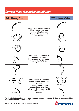## *Correct Hose Assembly Installation*

### *NO - Wrong Use YES - Correct Use*



**For detailed informations about the recommendeds practices for Hydraulic Hose Assemblies,**  please refer to SAEJ1273 standard.